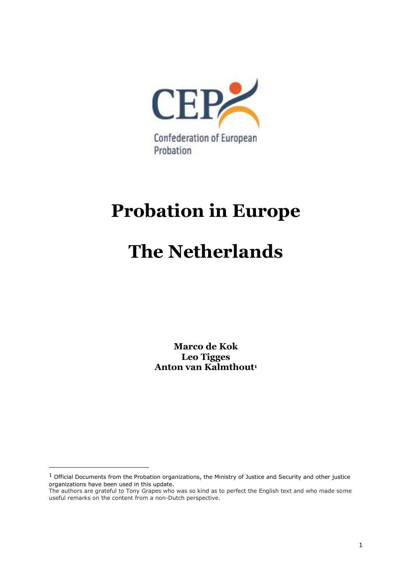

# **Probation in Europe**

# **The Netherlands**

**Marco de Kok Leo Tigges Anton van Kalmthout<sup>1</sup>**

 $1$  Official Documents from the Probation organizations, the Ministry of Justice and Security and other justice organizations have been used in this update.

The authors are grateful to Tony Grapes who was so kind as to perfect the English text and who made some useful remarks on the content from a non-Dutch perspective.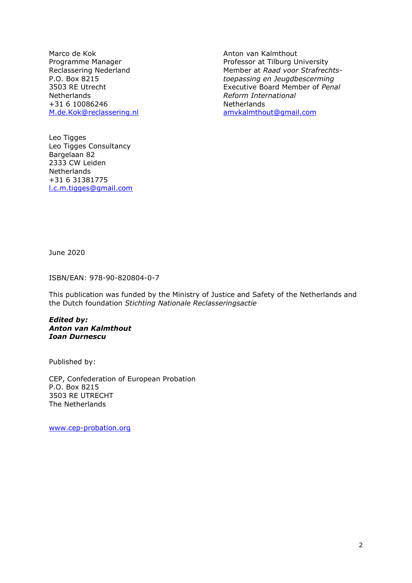Marco de Kok Anton van Kalmthout Netherlands *Reform International* +31 6 10086246<br>
M.de.Kok@reclassering.nl<br>
M.de.Kok@reclassering.nl<br>
M.de.Kok@reclassering.nl

Programme Manager **Professor at Tilburg University** Reclassering Nederland Member at *Raad voor Strafrechts-*P.O. Box 8215 *toepassing en Jeugdbescerming* 3503 RE Utrecht Executive Board Member of *Penal* [amvkalmthout@gmail.com](mailto:amvkalmthout@gmail.com)

Leo Tigges Leo Tigges Consultancy Bargelaan 82 2333 CW Leiden **Netherlands** +31 6 31381775 [l.c.m.tigges@gmail.com](mailto:l.c.m.tigges@gmail.com)

June 2020

ISBN/EAN: 978-90-820804-0-7

This publication was funded by the Ministry of Justice and Safety of the Netherlands and the Dutch foundation *Stichting Nationale Reclasseringsactie*

*Edited by: Anton van Kalmthout Ioan Durnescu*

Published by:

CEP, Confederation of European Probation P.O. Box 8215 3503 RE UTRECHT The Netherlands

[www.cep-probation.org](http://www.cep-probation.org/)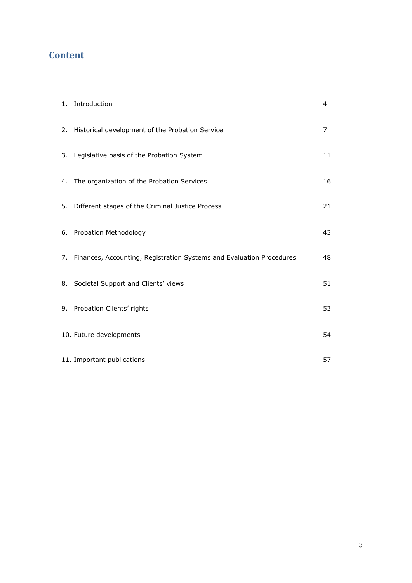# **Content**

| 1. Introduction                                                         | 4  |
|-------------------------------------------------------------------------|----|
| 2. Historical development of the Probation Service                      | 7  |
| 3. Legislative basis of the Probation System                            | 11 |
| 4. The organization of the Probation Services                           | 16 |
| 5. Different stages of the Criminal Justice Process                     | 21 |
| 6. Probation Methodology                                                | 43 |
| 7. Finances, Accounting, Registration Systems and Evaluation Procedures | 48 |
| 8. Societal Support and Clients' views                                  | 51 |
| 9. Probation Clients' rights                                            | 53 |
| 10. Future developments                                                 | 54 |
| 11. Important publications                                              | 57 |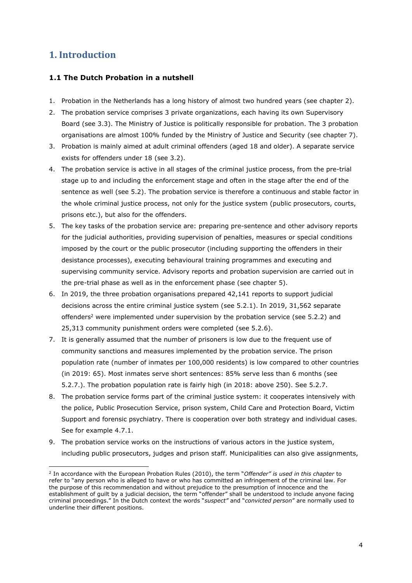# **1. Introduction**

## **1.1 The Dutch Probation in a nutshell**

- 1. Probation in the Netherlands has a long history of almost two hundred years (see chapter 2).
- 2. The probation service comprises 3 private organizations, each having its own Supervisory Board (see 3.3). The Ministry of Justice is politically responsible for probation. The 3 probation organisations are almost 100% funded by the Ministry of Justice and Security (see chapter 7).
- 3. Probation is mainly aimed at adult criminal offenders (aged 18 and older). A separate service exists for offenders under 18 (see 3.2).
- 4. The probation service is active in all stages of the criminal justice process, from the pre-trial stage up to and including the enforcement stage and often in the stage after the end of the sentence as well (see 5.2). The probation service is therefore a continuous and stable factor in the whole criminal justice process, not only for the justice system (public prosecutors, courts, prisons etc.), but also for the offenders.
- 5. The key tasks of the probation service are: preparing pre-sentence and other advisory reports for the judicial authorities, providing supervision of penalties, measures or special conditions imposed by the court or the public prosecutor (including supporting the offenders in their desistance processes), executing behavioural training programmes and executing and supervising community service. Advisory reports and probation supervision are carried out in the pre-trial phase as well as in the enforcement phase (see chapter 5).
- 6. In 2019, the three probation organisations prepared 42,141 reports to support judicial decisions across the entire criminal justice system (see 5.2.1). In 2019, 31,562 separate offenders<sup>2</sup> were implemented under supervision by the probation service (see 5.2.2) and 25,313 community punishment orders were completed (see 5.2.6).
- 7. It is generally assumed that the number of prisoners is low due to the frequent use of community sanctions and measures implemented by the probation service. The prison population rate (number of inmates per 100,000 residents) is low compared to other countries (in 2019: 65). Most inmates serve short sentences: 85% serve less than 6 months (see 5.2.7.). The probation population rate is fairly high (in 2018: above 250). See 5.2.7.
- 8. The probation service forms part of the criminal justice system: it cooperates intensively with the police, Public Prosecution Service, prison system, Child Care and Protection Board, Victim Support and forensic psychiatry. There is cooperation over both strategy and individual cases. See for example 4.7.1.
- 9. The probation service works on the instructions of various actors in the justice system, including public prosecutors, judges and prison staff. Municipalities can also give assignments,

<sup>2</sup> In accordance with the European Probation Rules (2010), the term "*Offender" is used in this chapter* to refer to "any person who is alleged to have or who has committed an infringement of the criminal law. For the purpose of this recommendation and without prejudice to the presumption of innocence and the establishment of guilt by a judicial decision, the term "offender" shall be understood to include anyone facing criminal proceedings." In the Dutch context the words "*suspect"* and "*convicted person*" are normally used to underline their different positions.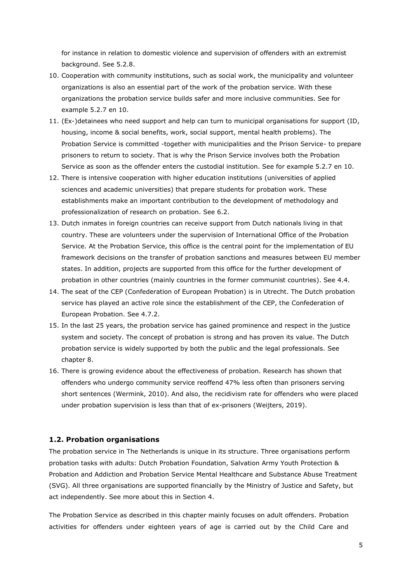for instance in relation to domestic violence and supervision of offenders with an extremist background. See 5.2.8.

- 10. Cooperation with community institutions, such as social work, the municipality and volunteer organizations is also an essential part of the work of the probation service. With these organizations the probation service builds safer and more inclusive communities. See for example 5.2.7 en 10.
- 11. (Ex-)detainees who need support and help can turn to municipal organisations for support (ID, housing, income & social benefits, work, social support, mental health problems). The Probation Service is committed -together with municipalities and the Prison Service- to prepare prisoners to return to society. That is why the Prison Service involves both the Probation Service as soon as the offender enters the custodial institution. See for example 5.2.7 en 10.
- 12. There is intensive cooperation with higher education institutions (universities of applied sciences and academic universities) that prepare students for probation work. These establishments make an important contribution to the development of methodology and professionalization of research on probation. See 6.2.
- 13. Dutch inmates in foreign countries can receive support from Dutch nationals living in that country. These are volunteers under the supervision of International Office of the Probation Service. At the Probation Service, this office is the central point for the implementation of EU framework decisions on the transfer of probation sanctions and measures between EU member states. In addition, projects are supported from this office for the further development of probation in other countries (mainly countries in the former communist countries). See 4.4.
- 14. The seat of the CEP (Confederation of European Probation) is in Utrecht. The Dutch probation service has played an active role since the establishment of the CEP, the Confederation of European Probation. See 4.7.2.
- 15. In the last 25 years, the probation service has gained prominence and respect in the justice system and society. The concept of probation is strong and has proven its value. The Dutch probation service is widely supported by both the public and the legal professionals. See chapter 8.
- 16. There is growing evidence about the effectiveness of probation. Research has shown that offenders who undergo community service reoffend 47% less often than prisoners serving short sentences (Wermink, 2010). And also, the recidivism rate for offenders who were placed under probation supervision is less than that of ex-prisoners (Weijters, 2019).

#### **1.2. Probation organisations**

The probation service in The Netherlands is unique in its structure. Three organisations perform probation tasks with adults: Dutch Probation Foundation, Salvation Army Youth Protection & Probation and Addiction and Probation Service Mental Healthcare and Substance Abuse Treatment (SVG). All three organisations are supported financially by the Ministry of Justice and Safety, but act independently. See more about this in Section 4.

The Probation Service as described in this chapter mainly focuses on adult offenders. Probation activities for offenders under eighteen years of age is carried out by the Child Care and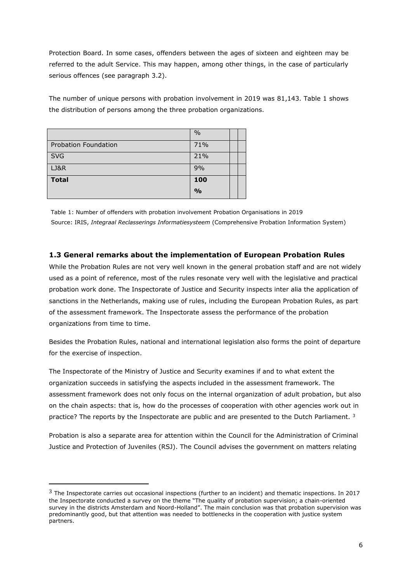Protection Board. In some cases, offenders between the ages of sixteen and eighteen may be referred to the adult Service. This may happen, among other things, in the case of particularly serious offences (see paragraph 3.2).

The number of unique persons with probation involvement in 2019 was 81,143. Table 1 shows the distribution of persons among the three probation organizations.

|                             | $\frac{0}{0}$ |  |
|-----------------------------|---------------|--|
| <b>Probation Foundation</b> | 71%           |  |
| <b>SVG</b>                  | 21%           |  |
| LJ&R                        | 9%            |  |
| <b>Total</b>                | 100           |  |
|                             | $\frac{0}{0}$ |  |

Table 1: Number of offenders with probation involvement Probation Organisations in 2019 Source: IRIS, *Integraal Reclasserings Informatiesysteem* (Comprehensive Probation Information System)

# **1.3 General remarks about the implementation of European Probation Rules**

While the Probation Rules are not very well known in the general probation staff and are not widely used as a point of reference, most of the rules resonate very well with the legislative and practical probation work done. The Inspectorate of Justice and Security inspects inter alia the application of sanctions in the Netherlands, making use of rules, including the European Probation Rules, as part of the assessment framework. The Inspectorate assess the performance of the probation organizations from time to time.

Besides the Probation Rules, national and international legislation also forms the point of departure for the exercise of inspection.

The Inspectorate of the Ministry of Justice and Security examines if and to what extent the organization succeeds in satisfying the aspects included in the assessment framework. The assessment framework does not only focus on the internal organization of adult probation, but also on the chain aspects: that is, how do the processes of cooperation with other agencies work out in practice? The reports by the Inspectorate are public and are presented to the Dutch Parliament. <sup>3</sup>

Probation is also a separate area for attention within the Council for the Administration of Criminal Justice and Protection of Juveniles (RSJ). The Council advises the government on matters relating

 $3$  The Inspectorate carries out occasional inspections (further to an incident) and thematic inspections. In 2017 the Inspectorate conducted a survey on the theme "The quality of probation supervision; a chain-oriented survey in the districts Amsterdam and Noord-Holland". The main conclusion was that probation supervision was predominantly good, but that attention was needed to bottlenecks in the cooperation with justice system partners.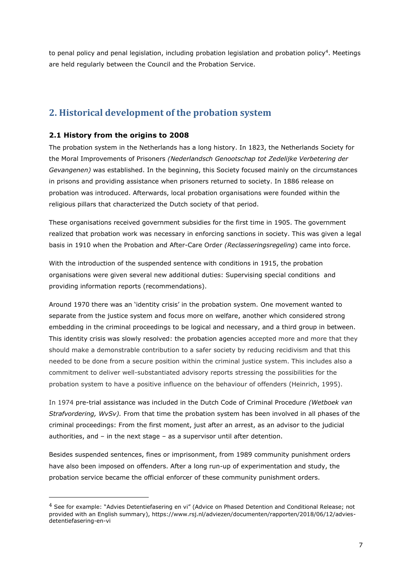to penal policy and penal legislation, including probation legislation and probation policy<sup>4</sup>. Meetings are held regularly between the Council and the Probation Service.

# **2. Historical development of the probation system**

## **2.1 History from the origins to 2008**

The probation system in the Netherlands has a long history. In 1823, the Netherlands Society for the Moral Improvements of Prisoners *(Nederlandsch Genootschap tot Zedelijke Verbetering der Gevangenen)* was established. In the beginning, this Society focused mainly on the circumstances in prisons and providing assistance when prisoners returned to society. In 1886 release on probation was introduced. Afterwards, local probation organisations were founded within the religious pillars that characterized the Dutch society of that period.

These organisations received government subsidies for the first time in 1905. The government realized that probation work was necessary in enforcing sanctions in society. This was given a legal basis in 1910 when the Probation and After-Care Order *(Reclasseringsregeling*) came into force.

With the introduction of the suspended sentence with conditions in 1915, the probation organisations were given several new additional duties: Supervising special conditions and providing information reports (recommendations).

Around 1970 there was an 'identity crisis' in the probation system. One movement wanted to separate from the justice system and focus more on welfare, another which considered strong embedding in the criminal proceedings to be logical and necessary, and a third group in between. This identity crisis was slowly resolved: the probation agencies accepted more and more that they should make a demonstrable contribution to a safer society by reducing recidivism and that this needed to be done from a secure position within the criminal justice system. This includes also a commitment to deliver well-substantiated advisory reports stressing the possibilities for the probation system to have a positive influence on the behaviour of offenders (Heinrich, 1995).

In 1974 pre-trial assistance was included in the Dutch Code of Criminal Procedure *(Wetboek van Strafvordering, WvSv).* From that time the probation system has been involved in all phases of the criminal proceedings: From the first moment, just after an arrest, as an advisor to the judicial authorities, and – in the next stage – as a supervisor until after detention.

Besides suspended sentences, fines or imprisonment, from 1989 community punishment orders have also been imposed on offenders. After a long run-up of experimentation and study, the probation service became the official enforcer of these community punishment orders.

<sup>&</sup>lt;sup>4</sup> See for example: "Advies Detentiefasering en vi" (Advice on Phased Detention and Conditional Release; not provided with an English summary), https://www.rsj.nl/adviezen/documenten/rapporten/2018/06/12/adviesdetentiefasering-en-vi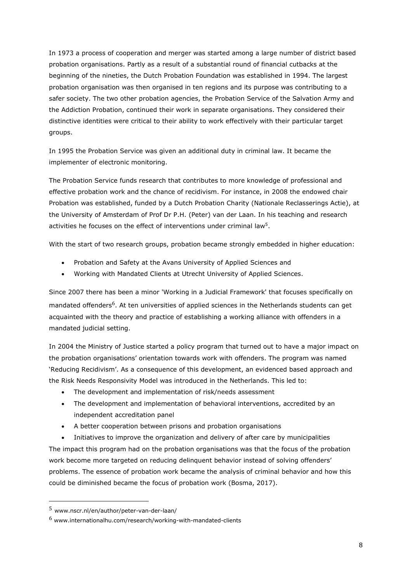In 1973 a process of cooperation and merger was started among a large number of district based probation organisations. Partly as a result of a substantial round of financial cutbacks at the beginning of the nineties, the Dutch Probation Foundation was established in 1994. The largest probation organisation was then organised in ten regions and its purpose was contributing to a safer society. The two other probation agencies, the Probation Service of the Salvation Army and the Addiction Probation, continued their work in separate organisations. They considered their distinctive identities were critical to their ability to work effectively with their particular target groups.

In 1995 the Probation Service was given an additional duty in criminal law. It became the implementer of electronic monitoring.

The Probation Service funds research that contributes to more knowledge of professional and effective probation work and the chance of recidivism. For instance, in 2008 the endowed chair Probation was established, funded by a Dutch Probation Charity (Nationale Reclasserings Actie), at the University of Amsterdam of Prof Dr P.H. (Peter) van der Laan. In his teaching and research activities he focuses on the effect of interventions under criminal law<sup>5</sup>.

With the start of two research groups, probation became strongly embedded in higher education:

- Probation and Safety at the Avans University of Applied Sciences and
- Working with Mandated Clients at Utrecht University of Applied Sciences.

Since 2007 there has been a minor 'Working in a Judicial Framework' that focuses specifically on mandated offenders<sup>6</sup>. At ten universities of applied sciences in the Netherlands students can get acquainted with the theory and practice of establishing a working alliance with offenders in a mandated judicial setting.

In 2004 the Ministry of Justice started a policy program that turned out to have a major impact on the probation organisations' orientation towards work with offenders. The program was named 'Reducing Recidivism'. As a consequence of this development, an evidenced based approach and the Risk Needs Responsivity Model was introduced in the Netherlands. This led to:

- The development and implementation of risk/needs assessment
- The development and implementation of behavioral interventions, accredited by an independent accreditation panel
- A better cooperation between prisons and probation organisations

• Initiatives to improve the organization and delivery of after care by municipalities The impact this program had on the probation organisations was that the focus of the probation work become more targeted on reducing delinquent behavior instead of solving offenders' problems. The essence of probation work became the analysis of criminal behavior and how this could be diminished became the focus of probation work (Bosma, 2017).

<sup>5</sup> www.nscr.nl/en/author/peter-van-der-laan/

 $6$  www.internationalhu.com/research/working-with-mandated-clients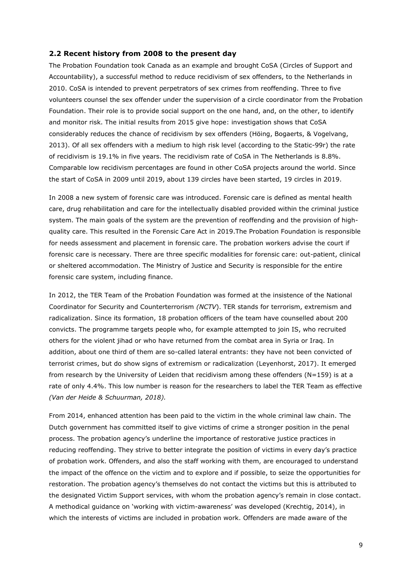#### **2.2 Recent history from 2008 to the present day**

The Probation Foundation took Canada as an example and brought CoSA (Circles of Support and Accountability), a successful method to reduce recidivism of sex offenders, to the Netherlands in 2010. CoSA is intended to prevent perpetrators of sex crimes from reoffending. Three to five volunteers counsel the sex offender under the supervision of a circle coordinator from the Probation Foundation. Their role is to provide social support on the one hand, and, on the other, to identify and monitor risk. The initial results from 2015 give hope: investigation shows that CoSA considerably reduces the chance of recidivism by sex offenders (Höing, Bogaerts, & Vogelvang, 2013). Of all sex offenders with a medium to high risk level (according to the Static-99r) the rate of recidivism is 19.1% in five years. The recidivism rate of CoSA in The Netherlands is 8.8%. Comparable low recidivism percentages are found in other CoSA projects around the world. Since the start of CoSA in 2009 until 2019, about 139 circles have been started, 19 circles in 2019.

In 2008 a new system of forensic care was introduced. Forensic care is defined as mental health care, drug rehabilitation and care for the intellectually disabled provided within the criminal justice system. The main goals of the system are the prevention of reoffending and the provision of highquality care. This resulted in the Forensic Care Act in 2019.The Probation Foundation is responsible for needs assessment and placement in forensic care. The probation workers advise the court if forensic care is necessary. There are three specific modalities for forensic care: out-patient, clinical or sheltered accommodation. The Ministry of Justice and Security is responsible for the entire forensic care system, including finance.

In 2012, the TER Team of the Probation Foundation was formed at the insistence of the National Coordinator for Security and Counterterrorism *(NCTV*). TER stands for terrorism, extremism and radicalization. Since its formation, 18 probation officers of the team have counselled about 200 convicts. The programme targets people who, for example attempted to join IS, who recruited others for the violent jihad or who have returned from the combat area in Syria or Iraq. In addition, about one third of them are so-called lateral entrants: they have not been convicted of terrorist crimes, but do show signs of extremism or radicalization (Leyenhorst, 2017). It emerged from research by the University of Leiden that recidivism among these offenders (N=159) is at a rate of only 4.4%. This low number is reason for the researchers to label the TER Team as effective *(Van der Heide & Schuurman, 2018).*

From 2014, enhanced attention has been paid to the victim in the whole criminal law chain. The Dutch government has committed itself to give victims of crime a stronger position in the penal process. The probation agency's underline the importance of restorative justice practices in reducing reoffending. They strive to better integrate the position of victims in every day's practice of probation work. Offenders, and also the staff working with them, are encouraged to understand the impact of the offence on the victim and to explore and if possible, to seize the opportunities for restoration. The probation agency's themselves do not contact the victims but this is attributed to the designated Victim Support services, with whom the probation agency's remain in close contact. A methodical guidance on 'working with victim-awareness' was developed (Krechtig, 2014), in which the interests of victims are included in probation work. Offenders are made aware of the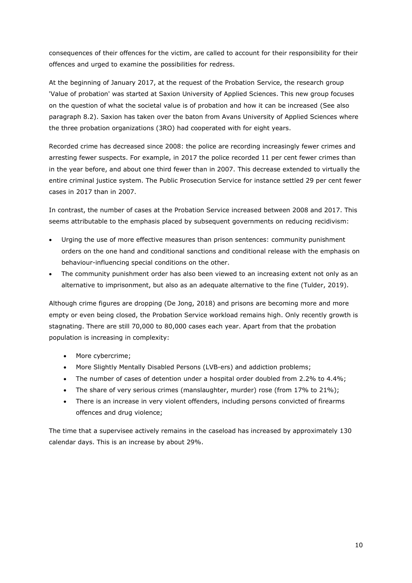consequences of their offences for the victim, are called to account for their responsibility for their offences and urged to examine the possibilities for redress.

At the beginning of January 2017, at the request of the Probation Service, the research group 'Value of probation' was started at Saxion University of Applied Sciences. This new group focuses on the question of what the societal value is of probation and how it can be increased (See also paragraph 8.2). Saxion has taken over the baton from Avans University of Applied Sciences where the three probation organizations (3RO) had cooperated with for eight years.

Recorded crime has decreased since 2008: the police are recording increasingly fewer crimes and arresting fewer suspects. For example, in 2017 the police recorded 11 per cent fewer crimes than in the year before, and about one third fewer than in 2007. This decrease extended to virtually the entire criminal justice system. The Public Prosecution Service for instance settled 29 per cent fewer cases in 2017 than in 2007.

In contrast, the number of cases at the Probation Service increased between 2008 and 2017. This seems attributable to the emphasis placed by subsequent governments on reducing recidivism:

- Urging the use of more effective measures than prison sentences: community punishment orders on the one hand and conditional sanctions and conditional release with the emphasis on behaviour-influencing special conditions on the other.
- The community punishment order has also been viewed to an increasing extent not only as an alternative to imprisonment, but also as an adequate alternative to the fine (Tulder, 2019).

Although crime figures are dropping (De Jong, 2018) and prisons are becoming more and more empty or even being closed, the Probation Service workload remains high. Only recently growth is stagnating. There are still 70,000 to 80,000 cases each year. Apart from that the probation population is increasing in complexity:

- More cybercrime;
- More Slightly Mentally Disabled Persons (LVB-ers) and addiction problems;
- The number of cases of detention under a hospital order doubled from 2.2% to 4.4%;
- The share of very serious crimes (manslaughter, murder) rose (from 17% to 21%);
- There is an increase in very violent offenders, including persons convicted of firearms offences and drug violence;

The time that a supervisee actively remains in the caseload has increased by approximately 130 calendar days. This is an increase by about 29%.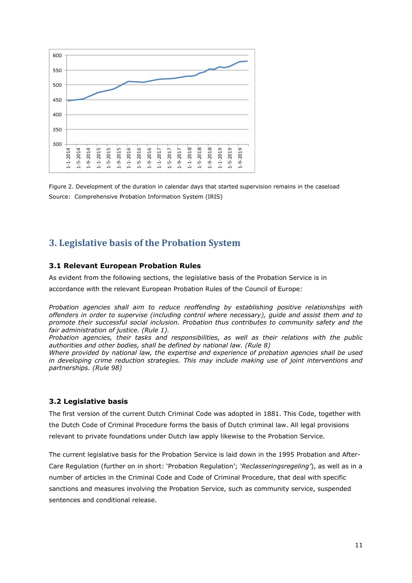

Figure 2. Development of the duration in calendar days that started supervision remains in the caseload Source: Comprehensive Probation Information System (IRIS)

# **3. Legislative basis of the Probation System**

#### **3.1 Relevant European Probation Rules**

As evident from the following sections, the legislative basis of the Probation Service is in

accordance with the relevant European Probation Rules of the Council of Europe:

*Probation agencies shall aim to reduce reoffending by establishing positive relationships with offenders in order to supervise (including control where necessary), guide and assist them and to promote their successful social inclusion. Probation thus contributes to community safety and the fair administration of justice. (Rule 1).*

*Probation agencies, their tasks and responsibilities, as well as their relations with the public authorities and other bodies, shall be defined by national law. (Rule 8)*

*Where provided by national law, the expertise and experience of probation agencies shall be used in developing crime reduction strategies. This may include making use of joint interventions and partnerships. (Rule 98)* 

#### **3.2 Legislative basis**

The first version of the current Dutch Criminal Code was adopted in 1881. This Code, together with the [Dutch Code of Criminal Procedure](https://nl.wikipedia.org/wiki/Wetboek_van_Strafvordering_(Nederland)) forms the basis of [Dutch criminal law.](https://nl.wikipedia.org/wiki/Strafrecht_(Nederland)) All legal provisions relevant to private foundations under Dutch law apply likewise to the Probation Service.

The current legislative basis for the Probation Service is laid down in the 1995 Probation and After-Care Regulation (further on in short: 'Probation Regulation'; *'Reclasseringsregeling'*), as well as in a number of articles in the Criminal Code and Code of Criminal Procedure, that deal with specific sanctions and measures involving the Probation Service, such as community service, suspended sentences and conditional release.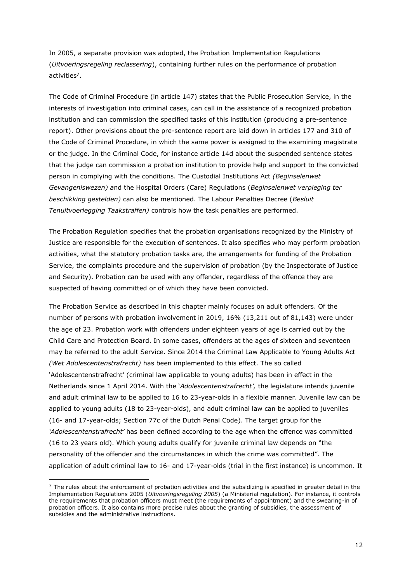In 2005, a separate provision was adopted, the Probation Implementation Regulations (*Uitvoeringsregeling reclassering*), containing further rules on the performance of probation activities<sup>7</sup>.

The Code of Criminal Procedure (in article 147) states that the Public Prosecution Service, in the interests of investigation into criminal cases, can call in the assistance of a recognized probation institution and can commission the specified tasks of this institution (producing a pre-sentence report). Other provisions about the pre-sentence report are laid down in articles 177 and 310 of the Code of Criminal Procedure, in which the same power is assigned to the examining magistrate or the judge. In the Criminal Code, for instance article 14d about the suspended sentence states that the judge can commission a probation institution to provide help and support to the convicted person in complying with the conditions. The Custodial Institutions Act *(Beginselenwet Gevangeniswezen) a*nd the Hospital Orders (Care) Regulations (*Beginselenwet verpleging ter beschikking gestelden)* can also be mentioned. The Labour Penalties Decree (*Besluit Tenuitvoerlegging Taakstraffen)* controls how the task penalties are performed.

The Probation Regulation specifies that the probation organisations recognized by the Ministry of Justice are responsible for the execution of sentences. It also specifies who may perform probation activities, what the statutory probation tasks are, the arrangements for funding of the Probation Service, the complaints procedure and the supervision of probation (by the Inspectorate of Justice and Security). Probation can be used with any offender, regardless of the offence they are suspected of having committed or of which they have been convicted.

The Probation Service as described in this chapter mainly focuses on adult offenders. Of the number of persons with probation involvement in 2019, 16% (13,211 out of 81,143) were under the age of 23. Probation work with offenders under eighteen years of age is carried out by the Child Care and Protection Board. In some cases, offenders at the ages of sixteen and seventeen may be referred to the adult Service. Since 2014 the Criminal Law Applicable to Young Adults Act *(Wet Adolescentenstrafrecht)* has been implemented to this effect. The so called 'Adolescentenstrafrecht' (criminal law applicable to young adults) has been in effect in the Netherlands since 1 April 2014. With the '*Adolescentenstrafrecht',* the legislature intends juvenile and adult criminal law to be applied to 16 to 23-year-olds in a flexible manner. Juvenile law can be applied to young adults (18 to 23-year-olds), and adult criminal law can be applied to juveniles (16- and 17-year-olds; Section 77c of the Dutch Penal Code). The target group for the *'Adolescentenstrafrecht'* has been defined according to the age when the offence was committed (16 to 23 years old). Which young adults qualify for juvenile criminal law depends on "the personality of the offender and the circumstances in which the crime was committed". The application of adult criminal law to 16- and 17-year-olds (trial in the first instance) is uncommon. It

 $<sup>7</sup>$  The rules about the enforcement of probation activities and the subsidizing is specified in greater detail in the</sup> Implementation Regulations 2005 (*Uitvoeringsregeling 2005*) (a Ministerial regulation). For instance, it controls the requirements that probation officers must meet (the requirements of appointment) and the swearing-in of probation officers. It also contains more precise rules about the granting of subsidies, the assessment of subsidies and the administrative instructions.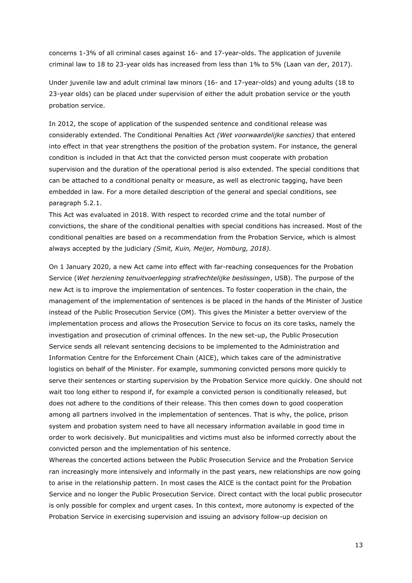concerns 1-3% of all criminal cases against 16- and 17-year-olds. The application of juvenile criminal law to 18 to 23-year olds has increased from less than 1% to 5% (Laan van der, 2017).

Under juvenile law and adult criminal law minors (16- and 17-year-olds) and young adults (18 to 23-year olds) can be placed under supervision of either the adult probation service or the youth probation service.

In 2012, the scope of application of the suspended sentence and conditional release was considerably extended. The Conditional Penalties Act *(Wet voorwaardelijke sancties)* that entered into effect in that year strengthens the position of the probation system. For instance, the general condition is included in that Act that the convicted person must cooperate with probation supervision and the duration of the operational period is also extended. The special conditions that can be attached to a conditional penalty or measure, as well as electronic tagging, have been embedded in law. For a more detailed description of the general and special conditions, see paragraph 5.2.1.

This Act was evaluated in 2018. With respect to recorded crime and the total number of convictions, the share of the conditional penalties with special conditions has increased. Most of the conditional penalties are based on a recommendation from the Probation Service, which is almost always accepted by the judiciary *(Smit, Kuin, Meijer, Homburg, 2018).*

On 1 January 2020, a new Act came into effect with far-reaching consequences for the Probation Service (*Wet herziening tenuitvoerlegging strafrechtelijke beslissingen*, USB). The purpose of the new Act is to improve the implementation of sentences. To foster cooperation in the chain, the management of the implementation of sentences is be placed in the hands of the Minister of Justice instead of the Public Prosecution Service (OM). This gives the Minister a better overview of the implementation process and allows the Prosecution Service to focus on its core tasks, namely the investigation and prosecution of criminal offences. In the new set-up, the Public Prosecution Service sends all relevant sentencing decisions to be implemented to the Administration and Information Centre for the Enforcement Chain (AICE), which takes care of the administrative logistics on behalf of the Minister. For example, summoning convicted persons more quickly to serve their sentences or starting supervision by the Probation Service more quickly. One should not wait too long either to respond if, for example a convicted person is conditionally released, but does not adhere to the conditions of their release. This then comes down to good cooperation among all partners involved in the implementation of sentences. That is why, the police, prison system and probation system need to have all necessary information available in good time in order to work decisively. But municipalities and victims must also be informed correctly about the convicted person and the implementation of his sentence.

Whereas the concerted actions between the Public Prosecution Service and the Probation Service ran increasingly more intensively and informally in the past years, new relationships are now going to arise in the relationship pattern. In most cases the AICE is the contact point for the Probation Service and no longer the Public Prosecution Service. Direct contact with the local public prosecutor is only possible for complex and urgent cases. In this context, more autonomy is expected of the Probation Service in exercising supervision and issuing an advisory follow-up decision on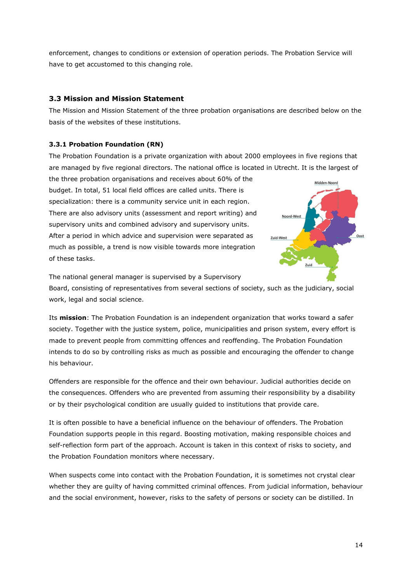enforcement, changes to conditions or extension of operation periods. The Probation Service will have to get accustomed to this changing role.

# **3.3 Mission and Mission Statement**

The Mission and Mission Statement of the three probation organisations are described below on the basis of the websites of these institutions.

# **3.3.1 Probation Foundation (RN)**

The Probation Foundation is a private organization with about 2000 employees in five regions that are managed by five regional directors. The national office is located in Utrecht. It is the largest of

the three probation organisations and receives about 60% of the budget. In total, 51 local field offices are called units. There is specialization: there is a community service unit in each region. There are also advisory units (assessment and report writing) and supervisory units and combined advisory and supervisory units. After a period in which advice and supervision were separated as much as possible, a trend is now visible towards more integration of these tasks.



The national general manager is supervised by a Supervisory

Board, consisting of representatives from several sections of society, such as the judiciary, social work, legal and social science.

Its **mission**: The Probation Foundation is an independent organization that works toward a safer society. Together with the justice system, police, municipalities and prison system, every effort is made to prevent people from committing offences and reoffending. The Probation Foundation intends to do so by controlling risks as much as possible and encouraging the offender to change his behaviour.

Offenders are responsible for the offence and their own behaviour. Judicial authorities decide on the consequences. Offenders who are prevented from assuming their responsibility by a disability or by their psychological condition are usually guided to institutions that provide care.

It is often possible to have a beneficial influence on the behaviour of offenders. The Probation Foundation supports people in this regard. Boosting motivation, making responsible choices and self-reflection form part of the approach. Account is taken in this context of risks to society, and the Probation Foundation monitors where necessary.

When suspects come into contact with the Probation Foundation, it is sometimes not crystal clear whether they are guilty of having committed criminal offences. From judicial information, behaviour and the social environment, however, risks to the safety of persons or society can be distilled. In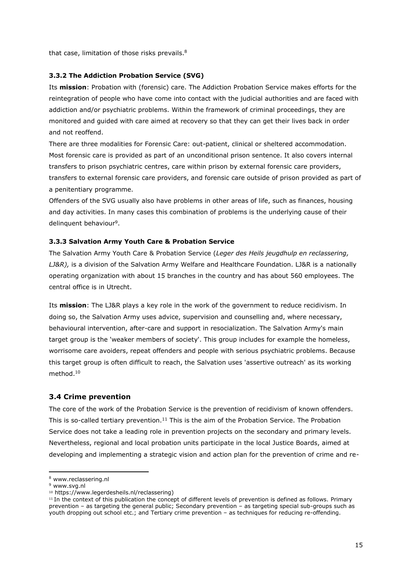that case, limitation of those risks prevails.<sup>8</sup>

#### **3.3.2 The Addiction Probation Service (SVG)**

Its **mission**: Probation with (forensic) care. The Addiction Probation Service makes efforts for the reintegration of people who have come into contact with the judicial authorities and are faced with addiction and/or psychiatric problems. Within the framework of criminal proceedings, they are monitored and guided with care aimed at recovery so that they can get their lives back in order and not reoffend.

There are three modalities for Forensic Care: out-patient, clinical or sheltered accommodation. Most forensic care is provided as part of an unconditional prison sentence. It also covers internal transfers to prison psychiatric centres, care within prison by external forensic care providers, transfers to external forensic care providers, and forensic care outside of prison provided as part of a penitentiary programme.

Offenders of the SVG usually also have problems in other areas of life, such as finances, housing and day activities. In many cases this combination of problems is the underlying cause of their delinquent behaviour<sup>9</sup>.

#### **3.3.3 Salvation Army Youth Care & Probation Service**

The Salvation Army Youth Care & Probation Service (*Leger des Heils jeugdhulp en reclassering, LJ&R),* is a division of the Salvation Army Welfare and Healthcare Foundation. LJ&R is a nationally operating organization with about 15 branches in the country and has about 560 employees. The central office is in Utrecht.

Its **mission**: The LJ&R plays a key role in the work of the government to reduce recidivism. In doing so, the Salvation Army uses advice, supervision and counselling and, where necessary, behavioural intervention, after-care and support in resocialization. The Salvation Army's main target group is the 'weaker members of society'. This group includes for example the homeless, worrisome care avoiders, repeat offenders and people with serious psychiatric problems. Because this target group is often difficult to reach, the Salvation uses 'assertive outreach' as its working method.<sup>10</sup>

#### **3.4 Crime prevention**

The core of the work of the Probation Service is the prevention of recidivism of known offenders. This is so-called tertiary prevention.<sup>11</sup> This is the aim of the Probation Service. The Probation Service does not take a leading role in prevention projects on the secondary and primary levels. Nevertheless, regional and local probation units participate in the local Justice Boards, aimed at developing and implementing a strategic vision and action plan for the prevention of crime and re-

<sup>8</sup> www.reclassering.nl

<sup>9</sup> www.svg.nl

<sup>10</sup> [https://www.legerdesheils.nl/reclassering\)](https://www.legerdesheils.nl/reclassering)

<sup>11</sup> In the context of this publication the concept of different levels of prevention is defined as follows. Primary prevention – as targeting the general public; Secondary prevention – as targeting special sub-groups such as youth dropping out school etc.; and Tertiary crime prevention – as techniques for reducing re-offending.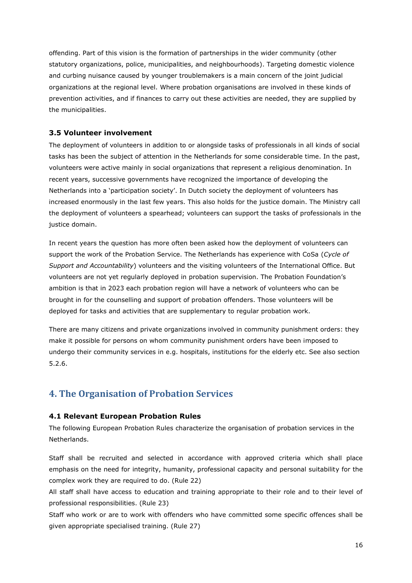offending. Part of this vision is the formation of partnerships in the wider community (other statutory organizations, police, municipalities, and neighbourhoods). Targeting domestic violence and curbing nuisance caused by younger troublemakers is a main concern of the joint judicial organizations at the regional level. Where probation organisations are involved in these kinds of prevention activities, and if finances to carry out these activities are needed, they are supplied by the municipalities.

#### **3.5 Volunteer involvement**

The deployment of volunteers in addition to or alongside tasks of professionals in all kinds of social tasks has been the subject of attention in the Netherlands for some considerable time. In the past, volunteers were active mainly in social organizations that represent a religious denomination. In recent years, successive governments have recognized the importance of developing the Netherlands into a 'participation society'. In Dutch society the deployment of volunteers has increased enormously in the last few years. This also holds for the justice domain. The Ministry call the deployment of volunteers a spearhead; volunteers can support the tasks of professionals in the justice domain.

In recent years the question has more often been asked how the deployment of volunteers can support the work of the Probation Service. The Netherlands has experience with CoSa (*Cycle of Support and Accountability*) volunteers and the visiting volunteers of the International Office. But volunteers are not yet regularly deployed in probation supervision. The Probation Foundation's ambition is that in 2023 each probation region will have a network of volunteers who can be brought in for the counselling and support of probation offenders. Those volunteers will be deployed for tasks and activities that are supplementary to regular probation work.

There are many citizens and private organizations involved in community punishment orders: they make it possible for persons on whom community punishment orders have been imposed to undergo their community services in e.g. hospitals, institutions for the elderly etc. See also section 5.2.6.

# **4. The Organisation of Probation Services**

#### **4.1 Relevant European Probation Rules**

The following European Probation Rules characterize the organisation of probation services in the Netherlands.

Staff shall be recruited and selected in accordance with approved criteria which shall place emphasis on the need for integrity, humanity, professional capacity and personal suitability for the complex work they are required to do. (Rule 22)

All staff shall have access to education and training appropriate to their role and to their level of professional responsibilities. (Rule 23)

Staff who work or are to work with offenders who have committed some specific offences shall be given appropriate specialised training. (Rule 27)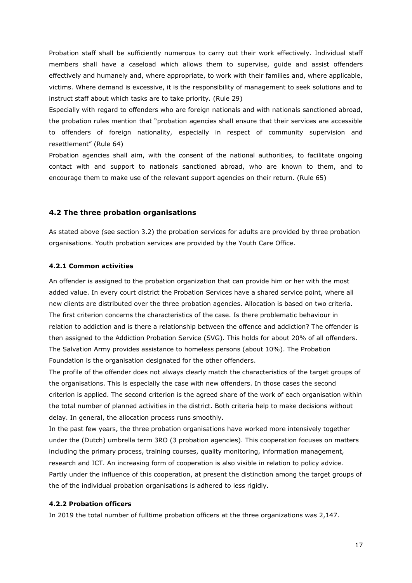Probation staff shall be sufficiently numerous to carry out their work effectively. Individual staff members shall have a caseload which allows them to supervise, guide and assist offenders effectively and humanely and, where appropriate, to work with their families and, where applicable, victims. Where demand is excessive, it is the responsibility of management to seek solutions and to instruct staff about which tasks are to take priority. (Rule 29)

Especially with regard to offenders who are foreign nationals and with nationals sanctioned abroad, the probation rules mention that "probation agencies shall ensure that their services are accessible to offenders of foreign nationality, especially in respect of community supervision and resettlement" (Rule 64)

Probation agencies shall aim, with the consent of the national authorities, to facilitate ongoing contact with and support to nationals sanctioned abroad, who are known to them, and to encourage them to make use of the relevant support agencies on their return. (Rule 65)

#### **4.2 The three probation organisations**

As stated above (see section 3.2) the probation services for adults are provided by three probation organisations. Youth probation services are provided by the [Youth Care Office.](https://nl.wikipedia.org/wiki/Bureau_jeugdzorg)

#### **4.2.1 Common activities**

An offender is assigned to the probation organization that can provide him or her with the most added value. In every court district the Probation Services have a shared service point, where all new clients are distributed over the three probation agencies. Allocation is based on two criteria. The first criterion concerns the characteristics of the case. Is there problematic behaviour in relation to addiction and is there a relationship between the offence and addiction? The offender is then assigned to the Addiction Probation Service (SVG). This holds for about 20% of all offenders. The Salvation Army provides assistance to homeless persons (about 10%). The Probation Foundation is the organisation designated for the other offenders.

The profile of the offender does not always clearly match the characteristics of the target groups of the organisations. This is especially the case with new offenders. In those cases the second criterion is applied. The second criterion is the agreed share of the work of each organisation within the total number of planned activities in the district. Both criteria help to make decisions without delay. In general, the allocation process runs smoothly.

In the past few years, the three probation organisations have worked more intensively together under the (Dutch) umbrella term 3RO (3 probation agencies). This cooperation focuses on matters including the primary process, training courses, quality monitoring, information management, research and ICT. An increasing form of cooperation is also visible in relation to policy advice. Partly under the influence of this cooperation, at present the distinction among the target groups of the of the individual probation organisations is adhered to less rigidly.

#### **4.2.2 Probation officers**

In 2019 the total number of fulltime probation officers at the three organizations was 2,147.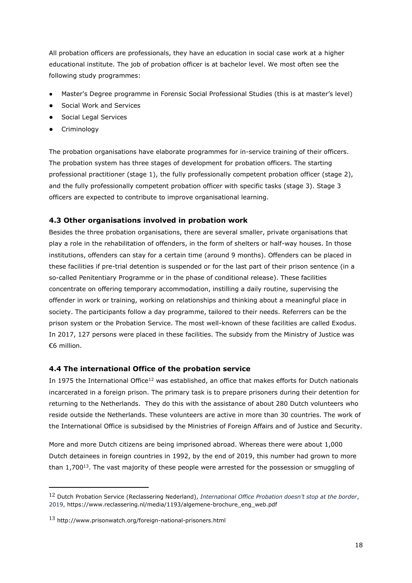All probation officers are professionals, they have an education in social case work at a higher educational institute. The job of probation officer is at bachelor level. We most often see the following study programmes:

- Master's Degree programme in Forensic Social Professional Studies (this is at master's level)
- Social Work and Services
- Social Legal Services
- **•** Criminology

The probation organisations have elaborate programmes for in-service training of their officers. The probation system has three stages of development for probation officers. The starting professional practitioner (stage 1), the fully professionally competent probation officer (stage 2), and the fully professionally competent probation officer with specific tasks (stage 3). Stage 3 officers are expected to contribute to improve organisational learning.

## **4.3 Other organisations involved in probation work**

Besides the three probation organisations, there are several smaller, private organisations that play a role in the rehabilitation of offenders, in the form of shelters or half-way houses. In those institutions, offenders can stay for a certain time (around 9 months). Offenders can be placed in these facilities if pre-trial detention is suspended or for the last part of their prison sentence (in a so-called Penitentiary Programme or in the phase of conditional release). These facilities concentrate on offering temporary accommodation, instilling a daily routine, supervising the offender in work or training, working on relationships and thinking about a meaningful place in society. The participants follow a day programme, tailored to their needs. Referrers can be the prison system or the Probation Service. The most well-known of these facilities are called Exodus. In 2017, 127 persons were placed in these facilities. The subsidy from the Ministry of Justice was €6 million.

#### **4.4 The international Office of the probation service**

In 1975 the International Office<sup>12</sup> was established, an office that makes efforts for Dutch nationals incarcerated in a foreign prison. The primary task is to prepare prisoners during their detention for returning to the Netherlands. They do this with the assistance of about 280 Dutch volunteers who reside outside the Netherlands. These volunteers are active in more than 30 countries. The work of the International Office is subsidised by the Ministries of Foreign Affairs and of Justice and Security.

More and more Dutch citizens are being imprisoned abroad. Whereas there were about 1,000 Dutch detainees in foreign countries in 1992, by the end of 2019, this number had grown to more than  $1,700^{13}$ . The vast majority of these people were arrested for the possession or smuggling of

<sup>12</sup> Dutch Probation Service (Reclassering Nederland), *International Office Probation doesn't stop at the border*, 2019, https://www.reclassering.nl/media/1193/algemene-brochure\_eng\_web.pdf

<sup>13</sup> http://www.prisonwatch.org/foreign-national-prisoners.html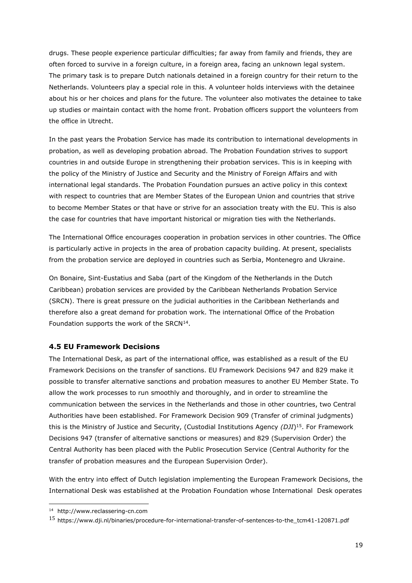drugs. These people experience particular difficulties; far away from family and friends, they are often forced to survive in a foreign culture, in a foreign area, facing an unknown legal system. The primary task is to prepare Dutch nationals detained in a foreign country for their return to the Netherlands. Volunteers play a special role in this. A volunteer holds interviews with the detainee about his or her choices and plans for the future. The volunteer also motivates the detainee to take up studies or maintain contact with the home front. Probation officers support the volunteers from the office in Utrecht.

In the past years the Probation Service has made its contribution to international developments in probation, as well as developing probation abroad. The Probation Foundation strives to support countries in and outside Europe in strengthening their probation services. This is in keeping with the policy of the Ministry of Justice and Security and the Ministry of Foreign Affairs and with international legal standards. The Probation Foundation pursues an active policy in this context with respect to countries that are Member States of the European Union and countries that strive to become Member States or that have or strive for an association treaty with the EU. This is also the case for countries that have important historical or migration ties with the Netherlands.

The International Office encourages cooperation in probation services in other countries. The Office is particularly active in projects in the area of probation capacity building. At present, specialists from the probation service are deployed in countries such as Serbia, Montenegro and Ukraine.

On Bonaire, Sint-Eustatius and Saba (part of the Kingdom of the Netherlands in the Dutch Caribbean) probation services are provided by the Caribbean Netherlands Probation Service (SRCN). There is great pressure on the judicial authorities in the Caribbean Netherlands and therefore also a great demand for probation work. The international Office of the Probation Foundation supports the work of the SRCN $14$ .

#### **4.5 EU Framework Decisions**

The International Desk, as part of the international office, was established as a result of the EU Framework Decisions on the transfer of sanctions. EU Framework Decisions 947 and 829 make it possible to transfer alternative sanctions and probation measures to another EU Member State. To allow the work processes to run smoothly and thoroughly, and in order to streamline the communication between the services in the Netherlands and those in other countries, two Central Authorities have been established. For Framework Decision 909 (Transfer of criminal judgments) this is the Ministry of Justice and Security, (Custodial Institutions Agency *(DJI*) <sup>15</sup>. For Framework Decisions 947 (transfer of alternative sanctions or measures) and 829 (Supervision Order) the Central Authority has been placed with the Public Prosecution Service (Central Authority for the transfer of probation measures and the European Supervision Order).

With the entry into effect of Dutch legislation implementing the European Framework Decisions, the International Desk was established at the Probation Foundation whose International Desk operates

<sup>14</sup> http://www.reclassering-cn.com

<sup>15</sup> [https://www.dji.nl/binaries/procedure-for-international-transfer-of-sentences-to-the\\_tcm41-120871.pdf](https://www.dji.nl/binaries/procedure-for-international-transfer-of-sentences-to-the_tcm41-120871.pdf)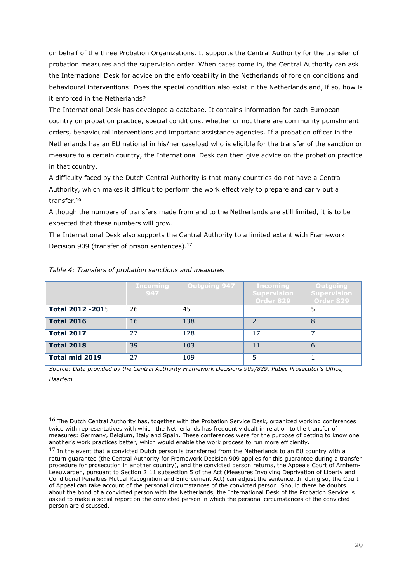on behalf of the three Probation Organizations. It supports the Central Authority for the transfer of probation measures and the supervision order. When cases come in, the Central Authority can ask the International Desk for advice on the enforceability in the Netherlands of foreign conditions and behavioural interventions: Does the special condition also exist in the Netherlands and, if so, how is it enforced in the Netherlands?

The International Desk has developed a database. It contains information for each European country on probation practice, special conditions, whether or not there are community punishment orders, behavioural interventions and important assistance agencies. If a probation officer in the Netherlands has an EU national in his/her caseload who is eligible for the transfer of the sanction or measure to a certain country, the International Desk can then give advice on the probation practice in that country.

A difficulty faced by the Dutch Central Authority is that many countries do not have a Central Authority, which makes it difficult to perform the work effectively to prepare and carry out a transfer.<sup>16</sup>

Although the numbers of transfers made from and to the Netherlands are still limited, it is to be expected that these numbers will grow.

The International Desk also supports the Central Authority to a limited extent with Framework Decision 909 (transfer of prison sentences).<sup>17</sup>

|                         | Incoming<br>947 | <b>Outgoing 947</b> | Incoming<br><b>Supervision</b><br>Order 829 | Outgoing<br><b>Supervision</b><br>Order 829 |
|-------------------------|-----------------|---------------------|---------------------------------------------|---------------------------------------------|
| <b>Total 2012 -2015</b> | 26              | 45                  |                                             | 5                                           |
| <b>Total 2016</b>       | 16              | 138                 | っ                                           | 8                                           |
| <b>Total 2017</b>       | 27              | 128                 | 17                                          |                                             |
| <b>Total 2018</b>       | 39              | 103                 | 11                                          | 6                                           |
| <b>Total mid 2019</b>   | 27              | 109                 | 5                                           |                                             |

#### *Table 4: Transfers of probation sanctions and measures*

*Source: Data provided by the Central Authority Framework Decisions 909/829. Public Prosecutor's Office, Haarlem*

 $16$  The Dutch Central Authority has, together with the Probation Service Desk, organized working conferences twice with representatives with which the Netherlands has frequently dealt in relation to the transfer of measures: Germany, Belgium, Italy and Spain. These conferences were for the purpose of getting to know one another's work practices better, which would enable the work process to run more efficiently.

 $17$  In the event that a convicted Dutch person is transferred from the Netherlands to an EU country with a return guarantee (the Central Authority for Framework Decision 909 applies for this guarantee during a transfer procedure for prosecution in another country), and the convicted person returns, the Appeals Court of Arnhem-Leeuwarden, pursuant to Section 2:11 subsection 5 of the Act (Measures Involving Deprivation of Liberty and Conditional Penalties Mutual Recognition and Enforcement Act) can adjust the sentence. In doing so, the Court of Appeal can take account of the personal circumstances of the convicted person. Should there be doubts about the bond of a convicted person with the Netherlands, the International Desk of the Probation Service is asked to make a social report on the convicted person in which the personal circumstances of the convicted person are discussed.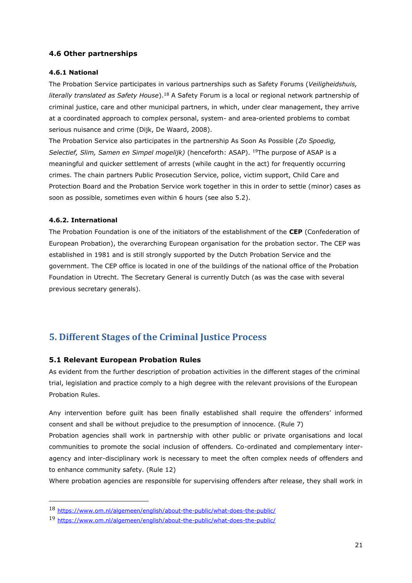## **4.6 Other partnerships**

#### **4.6.1 National**

The Probation Service participates in various partnerships such as Safety Forums (*Veiligheidshuis, literally translated as Safety House*).<sup>18</sup> A Safety Forum is a local or regional network partnership of criminal justice, care and other municipal partners, in which, under clear management, they arrive at a coordinated approach to complex personal, system- and area-oriented problems to combat serious nuisance and crime (Dijk, De Waard, 2008).

The Probation Service also participates in the partnership As Soon As Possible (*Zo Spoedig, Selectief, Slim, Samen en Simpel mogelijk)* (henceforth: ASAP). <sup>19</sup>The purpose of ASAP is a meaningful and quicker settlement of arrests (while caught in the act) for frequently occurring crimes. The chain partners Public Prosecution Service, police, victim support, Child Care and Protection Board and the Probation Service work together in this in order to settle (minor) cases as soon as possible, sometimes even within 6 hours (see also 5.2).

#### **4.6.2. International**

The Probation Foundation is one of the initiators of the establishment of the **CEP** (Confederation of European Probation), the overarching European organisation for the probation sector. The CEP was established in 1981 and is still strongly supported by the Dutch Probation Service and the government. The CEP office is located in one of the buildings of the national office of the Probation Foundation in Utrecht. The Secretary General is currently Dutch (as was the case with several previous secretary generals).

# **5. Different Stages of the Criminal Justice Process**

#### **5.1 Relevant European Probation Rules**

As evident from the further description of probation activities in the different stages of the criminal trial, legislation and practice comply to a high degree with the relevant provisions of the European Probation Rules.

Any intervention before guilt has been finally established shall require the offenders' informed consent and shall be without prejudice to the presumption of innocence. (Rule 7)

Probation agencies shall work in partnership with other public or private organisations and local communities to promote the social inclusion of offenders. Co-ordinated and complementary interagency and inter-disciplinary work is necessary to meet the often complex needs of offenders and to enhance community safety. (Rule 12)

Where probation agencies are responsible for supervising offenders after release, they shall work in

<sup>18</sup> <https://www.om.nl/algemeen/english/about-the-public/what-does-the-public/>

<sup>19</sup> <https://www.om.nl/algemeen/english/about-the-public/what-does-the-public/>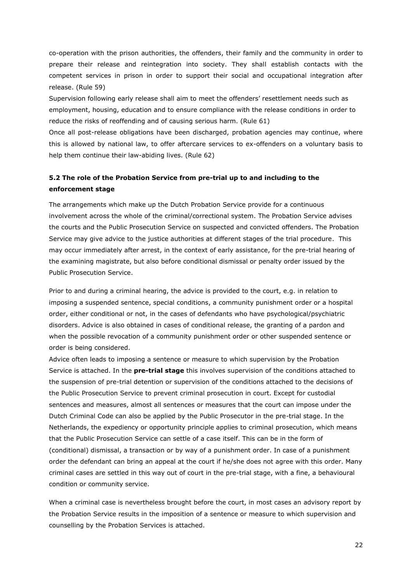co-operation with the prison authorities, the offenders, their family and the community in order to prepare their release and reintegration into society. They shall establish contacts with the competent services in prison in order to support their social and occupational integration after release. (Rule 59)

Supervision following early release shall aim to meet the offenders' resettlement needs such as employment, housing, education and to ensure compliance with the release conditions in order to reduce the risks of reoffending and of causing serious harm. (Rule 61)

Once all post-release obligations have been discharged, probation agencies may continue, where this is allowed by national law, to offer aftercare services to ex-offenders on a voluntary basis to help them continue their law-abiding lives. (Rule 62)

# **5.2 The role of the Probation Service from pre-trial up to and including to the enforcement stage**

The arrangements which make up the Dutch Probation Service provide for a continuous involvement across the whole of the criminal/correctional system. The Probation Service advises the courts and the Public Prosecution Service on suspected and convicted offenders. The Probation Service may give advice to the justice authorities at different stages of the trial procedure. This may occur immediately after arrest, in the context of early assistance, for the pre-trial hearing of the examining magistrate, but also before conditional dismissal or penalty order issued by the Public Prosecution Service.

Prior to and during a criminal hearing, the advice is provided to the court, e.g. in relation to imposing a suspended sentence, special conditions, a community punishment order or a hospital order, either conditional or not, in the cases of defendants who have psychological/psychiatric disorders. Advice is also obtained in cases of conditional release, the granting of a pardon and when the possible revocation of a community punishment order or other suspended sentence or order is being considered.

Advice often leads to imposing a sentence or measure to which supervision by the Probation Service is attached. In the **pre-trial stage** this involves supervision of the conditions attached to the suspension of pre-trial detention or supervision of the conditions attached to the decisions of the Public Prosecution Service to prevent criminal prosecution in court. Except for custodial sentences and measures, almost all sentences or measures that the court can impose under the Dutch Criminal Code can also be applied by the Public Prosecutor in the pre-trial stage. In the Netherlands, the expediency or opportunity principle applies to criminal prosecution, which means that the Public Prosecution Service can settle of a case itself. This can be in the form of (conditional) dismissal, a transaction or by way of a punishment order. In case of a punishment order the defendant can bring an appeal at the court if he/she does not agree with this order. Many criminal cases are settled in this way out of court in the pre-trial stage, with a fine, a behavioural condition or community service.

When a criminal case is nevertheless brought before the court, in most cases an advisory report by the Probation Service results in the imposition of a sentence or measure to which supervision and counselling by the Probation Services is attached.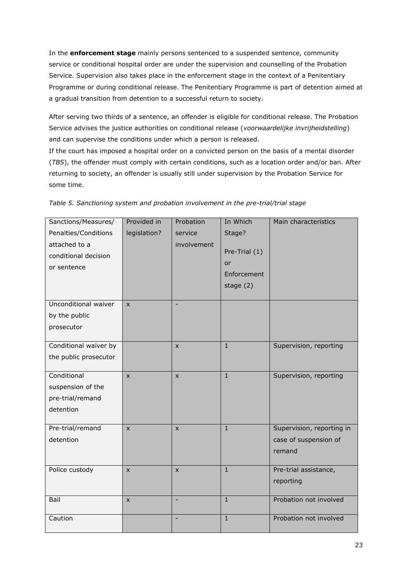In the **enforcement stage** mainly persons sentenced to a suspended sentence, community service or conditional hospital order are under the supervision and counselling of the Probation Service. Supervision also takes place in the enforcement stage in the context of a Penitentiary Programme or during conditional release. The Penitentiary Programme is part of detention aimed at a gradual transition from detention to a successful return to society.

After serving two thirds of a sentence, an offender is eligible for conditional release. The Probation Service advises the justice authorities on conditional release (*voorwaardelijke invrijheidstelling*) and can supervise the conditions under which a person is released.

If the court has imposed a hospital order on a convicted person on the basis of a mental disorder (*TBS*), the offender must comply with certain conditions, such as a location order and/or ban. After returning to society, an offender is usually still under supervision by the Probation Service for some time.

| Sanctions/Measures/   | Provided in  | Probation    | In Which      | Main characteristics      |
|-----------------------|--------------|--------------|---------------|---------------------------|
| Penalties/Conditions  | legislation? | service      | Stage?        |                           |
| attached to a         |              | involvement  |               |                           |
| conditional decision  |              |              | Pre-Trial (1) |                           |
| or sentence           |              |              | or            |                           |
|                       |              |              | Enforcement   |                           |
|                       |              |              | stage $(2)$   |                           |
| Unconditional waiver  | $\mathsf{x}$ |              |               |                           |
| by the public         |              |              |               |                           |
| prosecutor            |              |              |               |                           |
|                       |              |              |               |                           |
| Conditional waiver by |              | $\mathsf{x}$ | $\mathbf{1}$  | Supervision, reporting    |
| the public prosecutor |              |              |               |                           |
|                       |              |              |               |                           |
| Conditional           | $\mathsf{x}$ | $\mathsf{x}$ | $\mathbf{1}$  | Supervision, reporting    |
| suspension of the     |              |              |               |                           |
| pre-trial/remand      |              |              |               |                           |
| detention             |              |              |               |                           |
|                       |              |              | $\mathbf{1}$  |                           |
| Pre-trial/remand      | X            | $\mathsf{x}$ |               | Supervision, reporting in |
| detention             |              |              |               | case of suspension of     |
|                       |              |              |               | remand                    |
| Police custody        | $\mathsf{x}$ | X            | $\mathbf{1}$  | Pre-trial assistance,     |
|                       |              |              |               | reporting                 |
|                       |              |              |               |                           |
| Bail                  | $\mathsf{x}$ |              | $\mathbf{1}$  | Probation not involved    |
| Caution               |              | ٠            | $\mathbf{1}$  | Probation not involved    |
|                       |              |              |               |                           |

|  |  | Table 5. Sanctioning system and probation involvement in the pre-trial/trial stage |  |  |
|--|--|------------------------------------------------------------------------------------|--|--|
|  |  |                                                                                    |  |  |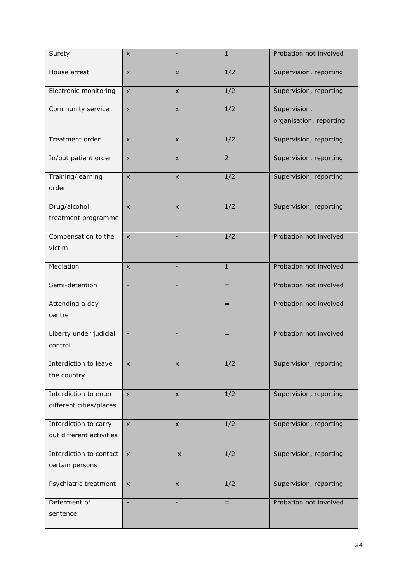| Surety                   | X                        |                          | $\mathbf{1}$     | Probation not involved  |
|--------------------------|--------------------------|--------------------------|------------------|-------------------------|
| House arrest             | $\pmb{\times}$           | $\pmb{\times}$           | 1/2              | Supervision, reporting  |
| Electronic monitoring    | $\mathsf{x}$             | $\pmb{\times}$           | 1/2              | Supervision, reporting  |
| Community service        | $\mathsf{x}$             | $\pmb{\times}$           | 1/2              | Supervision,            |
|                          |                          |                          |                  | organisation, reporting |
| Treatment order          | X                        | X                        | 1/2              | Supervision, reporting  |
| In/out patient order     | X                        | X                        | $\overline{2}$   | Supervision, reporting  |
| Training/learning        | $\mathsf{x}$             | X                        | 1/2              | Supervision, reporting  |
| order                    |                          |                          |                  |                         |
| Drug/alcohol             | $\mathsf{X}$             | X                        | 1/2              | Supervision, reporting  |
| treatment programme      |                          |                          |                  |                         |
| Compensation to the      | $\mathsf{X}$             | $\overline{\phantom{a}}$ | 1/2              | Probation not involved  |
| victim                   |                          |                          |                  |                         |
| Mediation                | <b>X</b>                 | $\blacksquare$           | $\mathbf{1}$     | Probation not involved  |
| Semi-detention           |                          |                          | $=$              | Probation not involved  |
| Attending a day          |                          |                          | $=$              | Probation not involved  |
| centre                   |                          |                          |                  |                         |
| Liberty under judicial   |                          |                          | $=$              | Probation not involved  |
| control                  |                          |                          |                  |                         |
| Interdiction to leave    | X                        | X                        | 1/2              | Supervision, reporting  |
| the country              |                          |                          |                  |                         |
| Interdiction to enter    | $\mathsf{x}$             | $\pmb{\times}$           | 1/2              | Supervision, reporting  |
| different cities/places  |                          |                          |                  |                         |
| Interdiction to carry    | $\pmb{\times}$           | $\mathsf{x}$             | $\overline{1/2}$ | Supervision, reporting  |
| out different activities |                          |                          |                  |                         |
| Interdiction to contact  | $\mathsf{x}$             | $\pmb{\times}$           | 1/2              | Supervision, reporting  |
| certain persons          |                          |                          |                  |                         |
| Psychiatric treatment    | X                        | X                        | 1/2              | Supervision, reporting  |
| Deferment of             | $\overline{\phantom{a}}$ | $\qquad \qquad -$        | $=$              | Probation not involved  |
| sentence                 |                          |                          |                  |                         |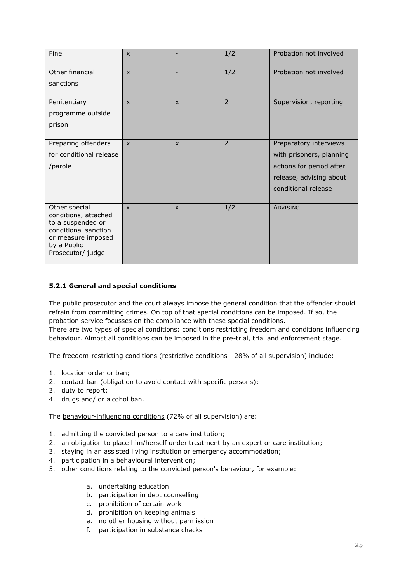| Fine                                                                                                                                         | $\mathsf{x}$ |                | 1/2            | Probation not involved   |
|----------------------------------------------------------------------------------------------------------------------------------------------|--------------|----------------|----------------|--------------------------|
| Other financial                                                                                                                              | $\mathsf{x}$ | $\blacksquare$ | 1/2            | Probation not involved   |
| sanctions                                                                                                                                    |              |                |                |                          |
| Penitentiary                                                                                                                                 | $\mathsf{x}$ | $\mathsf{x}$   | $\overline{2}$ | Supervision, reporting   |
| programme outside                                                                                                                            |              |                |                |                          |
| prison                                                                                                                                       |              |                |                |                          |
| Preparing offenders                                                                                                                          | $\mathsf{x}$ | $\mathsf{x}$   | $\overline{2}$ | Preparatory interviews   |
| for conditional release                                                                                                                      |              |                |                | with prisoners, planning |
| /parole                                                                                                                                      |              |                |                | actions for period after |
|                                                                                                                                              |              |                |                | release, advising about  |
|                                                                                                                                              |              |                |                | conditional release      |
|                                                                                                                                              |              |                |                |                          |
| Other special<br>conditions, attached<br>to a suspended or<br>conditional sanction<br>or measure imposed<br>by a Public<br>Prosecutor/ judge | $\mathsf{X}$ | $\mathsf{X}$   | 1/2            | ADVISING                 |

## **5.2.1 General and special conditions**

The public prosecutor and the court always impose the general condition that the offender should refrain from committing crimes. On top of that special conditions can be imposed. If so, the probation service focusses on the compliance with these special conditions. There are two types of special conditions: conditions restricting freedom and conditions influencing behaviour. Almost all conditions can be imposed in the pre-trial, trial and enforcement stage.

The freedom-restricting conditions (restrictive conditions - 28% of all supervision) include:

- 1. location order or ban;
- 2. contact ban (obligation to avoid contact with specific persons);
- 3. duty to report;
- 4. drugs and/ or alcohol ban.

The behaviour-influencing conditions (72% of all supervision) are:

- 1. admitting the convicted person to a care institution;
- 2. an obligation to place him/herself under treatment by an expert or care institution;
- 3. staying in an assisted living institution or emergency accommodation;
- 4. participation in a behavioural intervention;
- 5. other conditions relating to the convicted person's behaviour, for example:
	- a. undertaking education
	- b. participation in debt counselling
	- c. prohibition of certain work
	- d. prohibition on keeping animals
	- e. no other housing without permission
	- f. participation in substance checks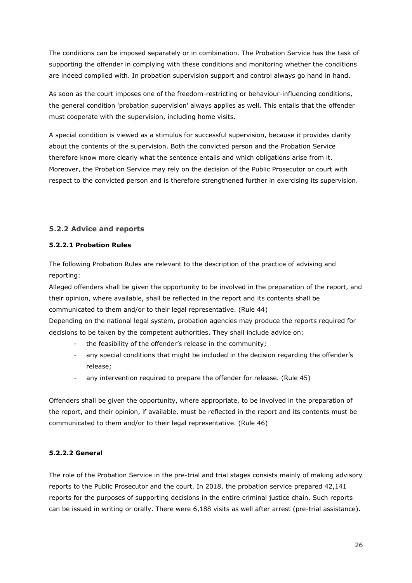The conditions can be imposed separately or in combination. The Probation Service has the task of supporting the offender in complying with these conditions and monitoring whether the conditions are indeed complied with. In probation supervision support and control always go hand in hand.

As soon as the court imposes one of the freedom-restricting or behaviour-influencing conditions, the general condition 'probation supervision' always applies as well. This entails that the offender must cooperate with the supervision, including home visits.

A special condition is viewed as a stimulus for successful supervision, because it provides clarity about the contents of the supervision. Both the convicted person and the Probation Service therefore know more clearly what the sentence entails and which obligations arise from it. Moreover, the Probation Service may rely on the decision of the Public Prosecutor or court with respect to the convicted person and is therefore strengthened further in exercising its supervision.

# **5.2.2 Advice and reports**

#### **5.2.2.1 Probation Rules**

The following Probation Rules are relevant to the description of the practice of advising and reporting:

Alleged offenders shall be given the opportunity to be involved in the preparation of the report, and their opinion, where available, shall be reflected in the report and its contents shall be communicated to them and/or to their legal representative. (Rule 44)

Depending on the national legal system, probation agencies may produce the reports required for decisions to be taken by the competent authorities. They shall include advice on:

- the feasibility of the offender's release in the community;
- any special conditions that might be included in the decision regarding the offender's release;
- any intervention required to prepare the offender for release. (Rule 45)

Offenders shall be given the opportunity, where appropriate, to be involved in the preparation of the report, and their opinion, if available, must be reflected in the report and its contents must be communicated to them and/or to their legal representative. (Rule 46)

#### **5.2.2.2 General**

The role of the Probation Service in the pre-trial and trial stages consists mainly of making advisory reports to the Public Prosecutor and the court. In 2018, the probation service prepared 42,141 reports for the purposes of supporting decisions in the entire criminal justice chain. Such reports can be issued in writing or orally. There were 6,188 visits as well after arrest (pre-trial assistance).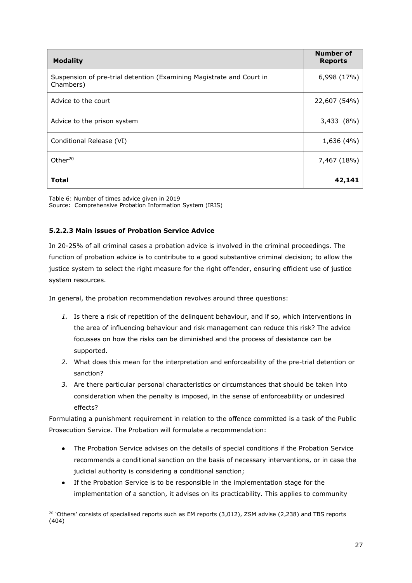| <b>Modality</b>                                                                   | Number of<br><b>Reports</b> |
|-----------------------------------------------------------------------------------|-----------------------------|
| Suspension of pre-trial detention (Examining Magistrate and Court in<br>Chambers) | 6,998 (17%)                 |
| Advice to the court                                                               | 22,607 (54%)                |
| Advice to the prison system                                                       | 3,433 (8%)                  |
| Conditional Release (VI)                                                          | 1,636 (4%)                  |
| Other <sup>20</sup>                                                               | 7,467 (18%)                 |
| <b>Total</b>                                                                      | 42,141                      |

Table 6: Number of times advice given in 2019 Source: Comprehensive Probation Information System (IRIS)

## **5.2.2.3 Main issues of Probation Service Advice**

In 20-25% of all criminal cases a probation advice is involved in the criminal proceedings. The function of probation advice is to contribute to a good substantive criminal decision; to allow the justice system to select the right measure for the right offender, ensuring efficient use of justice system resources.

In general, the probation recommendation revolves around three questions:

- *1.* Is there a risk of repetition of the delinquent behaviour, and if so, which interventions in the area of influencing behaviour and risk management can reduce this risk? The advice focusses on how the risks can be diminished and the process of desistance can be supported.
- *2.* What does this mean for the interpretation and enforceability of the pre-trial detention or sanction?
- *3.* Are there particular personal characteristics or circumstances that should be taken into consideration when the penalty is imposed, in the sense of enforceability or undesired effects?

Formulating a punishment requirement in relation to the offence committed is a task of the Public Prosecution Service. The Probation will formulate a recommendation:

- The Probation Service advises on the details of special conditions if the Probation Service recommends a conditional sanction on the basis of necessary interventions, or in case the judicial authority is considering a conditional sanction;
- If the Probation Service is to be responsible in the implementation stage for the implementation of a sanction, it advises on its practicability. This applies to community

 $20$  'Others' consists of specialised reports such as EM reports (3,012), ZSM advise (2,238) and TBS reports (404)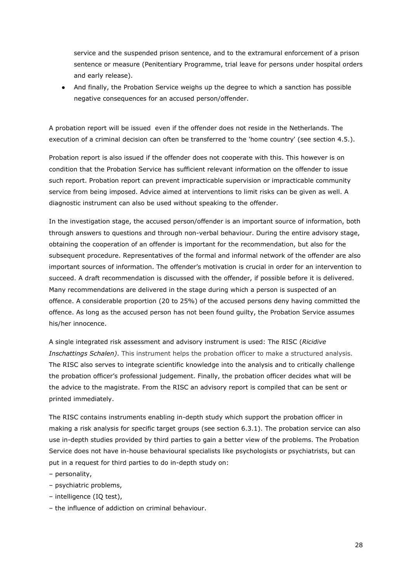service and the suspended prison sentence, and to the extramural enforcement of a prison sentence or measure (Penitentiary Programme, trial leave for persons under hospital orders and early release).

● And finally, the Probation Service weighs up the degree to which a sanction has possible negative consequences for an accused person/offender.

A probation report will be issued even if the offender does not reside in the Netherlands. The execution of a criminal decision can often be transferred to the 'home country' (see section 4.5.).

Probation report is also issued if the offender does not cooperate with this. This however is on condition that the Probation Service has sufficient relevant information on the offender to issue such report. Probation report can prevent impracticable supervision or impracticable community service from being imposed. Advice aimed at interventions to limit risks can be given as well. A diagnostic instrument can also be used without speaking to the offender.

In the investigation stage, the accused person/offender is an important source of information, both through answers to questions and through non-verbal behaviour. During the entire advisory stage, obtaining the cooperation of an offender is important for the recommendation, but also for the subsequent procedure. Representatives of the formal and informal network of the offender are also important sources of information. The offender's motivation is crucial in order for an intervention to succeed. A draft recommendation is discussed with the offender, if possible before it is delivered. Many recommendations are delivered in the stage during which a person is suspected of an offence. A considerable proportion (20 to 25%) of the accused persons deny having committed the offence. As long as the accused person has not been found guilty, the Probation Service assumes his/her innocence.

A single integrated risk assessment and advisory instrument is used: The RISC (*Ricidive Inschattings Schalen)*. This instrument helps the probation officer to make a structured analysis. The RISC also serves to integrate scientific knowledge into the analysis and to critically challenge the probation officer's professional judgement. Finally, the probation officer decides what will be the advice to the magistrate. From the RISC an advisory report is compiled that can be sent or printed immediately.

The RISC contains instruments enabling in-depth study which support the probation officer in making a risk analysis for specific target groups (see section 6.3.1). The probation service can also use in-depth studies provided by third parties to gain a better view of the problems. The Probation Service does not have in-house behavioural specialists like psychologists or psychiatrists, but can put in a request for third parties to do in-depth study on:

- personality,
- psychiatric problems,
- ‒ intelligence (IQ test),
- ‒ the influence of addiction on criminal behaviour.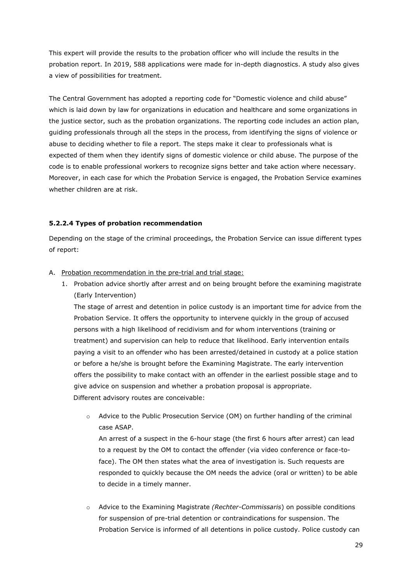This expert will provide the results to the probation officer who will include the results in the probation report. In 2019, 588 applications were made for in-depth diagnostics. A study also gives a view of possibilities for treatment.

The Central Government has adopted a reporting code for "Domestic violence and child abuse" which is laid down by law for organizations in education and healthcare and some organizations in the justice sector, such as the probation organizations. The reporting code includes an action plan, guiding professionals through all the steps in the process, from identifying the signs of violence or abuse to deciding whether to file a report. The steps make it clear to professionals what is expected of them when they identify signs of domestic violence or child abuse. The purpose of the code is to enable professional workers to recognize signs better and take action where necessary. Moreover, in each case for which the Probation Service is engaged, the Probation Service examines whether children are at risk.

## **5.2.2.4 Types of probation recommendation**

Depending on the stage of the criminal proceedings, the Probation Service can issue different types of report:

#### A. Probation recommendation in the pre-trial and trial stage:

1. Probation advice shortly after arrest and on being brought before the examining magistrate (Early Intervention)

The stage of arrest and detention in police custody is an important time for advice from the Probation Service. It offers the opportunity to intervene quickly in the group of accused persons with a high likelihood of recidivism and for whom interventions (training or treatment) and supervision can help to reduce that likelihood. Early intervention entails paying a visit to an offender who has been arrested/detained in custody at a police station or before a he/she is brought before the Examining Magistrate. The early intervention offers the possibility to make contact with an offender in the earliest possible stage and to give advice on suspension and whether a probation proposal is appropriate. Different advisory routes are conceivable:

o Advice to the Public Prosecution Service (OM) on further handling of the criminal case ASAP.

An arrest of a suspect in the 6-hour stage (the first 6 hours after arrest) can lead to a request by the OM to contact the offender (via video conference or face-toface). The OM then states what the area of investigation is. Such requests are responded to quickly because the OM needs the advice (oral or written) to be able to decide in a timely manner.

o Advice to the Examining Magistrate *(Rechter-Commissaris*) on possible conditions for suspension of pre-trial detention or contraindications for suspension. The Probation Service is informed of all detentions in police custody. Police custody can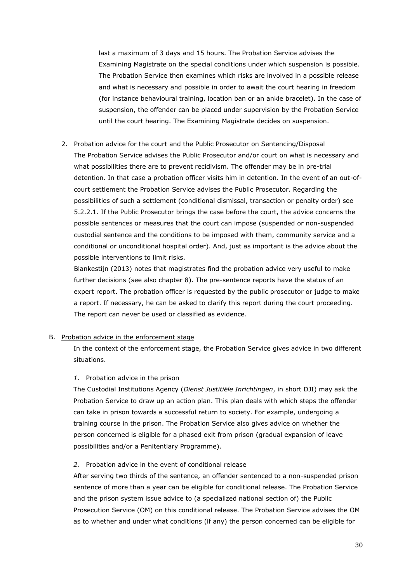last a maximum of 3 days and 15 hours. The Probation Service advises the Examining Magistrate on the special conditions under which suspension is possible. The Probation Service then examines which risks are involved in a possible release and what is necessary and possible in order to await the court hearing in freedom (for instance behavioural training, location ban or an ankle bracelet). In the case of suspension, the offender can be placed under supervision by the Probation Service until the court hearing. The Examining Magistrate decides on suspension.

2. Probation advice for the court and the Public Prosecutor on Sentencing/Disposal The Probation Service advises the Public Prosecutor and/or court on what is necessary and what possibilities there are to prevent recidivism. The offender may be in pre-trial detention. In that case a probation officer visits him in detention. In the event of an out-ofcourt settlement the Probation Service advises the Public Prosecutor. Regarding the possibilities of such a settlement (conditional dismissal, transaction or penalty order) see 5.2.2.1. If the Public Prosecutor brings the case before the court, the advice concerns the possible sentences or measures that the court can impose (suspended or non-suspended custodial sentence and the conditions to be imposed with them, community service and a conditional or unconditional hospital order). And, just as important is the advice about the possible interventions to limit risks.

Blankestijn (2013) notes that magistrates find the probation advice very useful to make further decisions (see also chapter 8). The pre-sentence reports have the status of an expert report. The probation officer is requested by the public prosecutor or judge to make a report. If necessary, he can be asked to clarify this report during the court proceeding. The report can never be used or classified as evidence.

#### B. Probation advice in the enforcement stage

In the context of the enforcement stage, the Probation Service gives advice in two different situations.

#### *1.* Probation advice in the prison

The Custodial Institutions Agency (*Dienst Justitiële Inrichtingen*, in short DJI) may ask the Probation Service to draw up an action plan. This plan deals with which steps the offender can take in prison towards a successful return to society. For example, undergoing a training course in the prison. The Probation Service also gives advice on whether the person concerned is eligible for a phased exit from prison (gradual expansion of leave possibilities and/or a Penitentiary Programme).

#### *2.* Probation advice in the event of conditional release

After serving two thirds of the sentence, an offender sentenced to a non-suspended prison sentence of more than a year can be eligible for conditional release. The Probation Service and the prison system issue advice to (a specialized national section of) the Public Prosecution Service (OM) on this conditional release. The Probation Service advises the OM as to whether and under what conditions (if any) the person concerned can be eligible for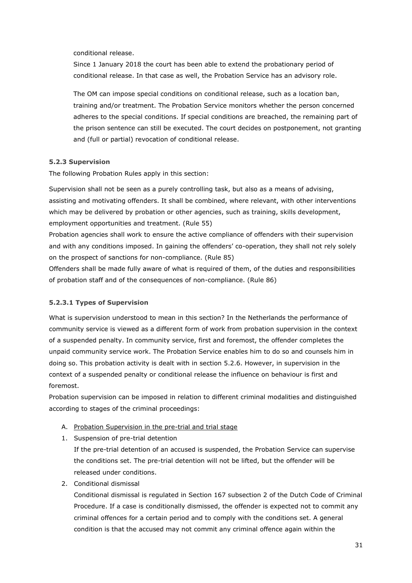conditional release.

Since 1 January 2018 the court has been able to extend the probationary period of conditional release. In that case as well, the Probation Service has an advisory role.

The OM can impose special conditions on conditional release, such as a location ban, training and/or treatment. The Probation Service monitors whether the person concerned adheres to the special conditions. If special conditions are breached, the remaining part of the prison sentence can still be executed. The court decides on postponement, not granting and (full or partial) revocation of conditional release.

#### **5.2.3 Supervision**

The following Probation Rules apply in this section:

Supervision shall not be seen as a purely controlling task, but also as a means of advising, assisting and motivating offenders. It shall be combined, where relevant, with other interventions which may be delivered by probation or other agencies, such as training, skills development, employment opportunities and treatment. (Rule 55)

Probation agencies shall work to ensure the active compliance of offenders with their supervision and with any conditions imposed. In gaining the offenders' co-operation, they shall not rely solely on the prospect of sanctions for non-compliance. (Rule 85)

Offenders shall be made fully aware of what is required of them, of the duties and responsibilities of probation staff and of the consequences of non-compliance. (Rule 86)

#### **5.2.3.1 Types of Supervision**

What is supervision understood to mean in this section? In the Netherlands the performance of community service is viewed as a different form of work from probation supervision in the context of a suspended penalty. In community service, first and foremost, the offender completes the unpaid community service work. The Probation Service enables him to do so and counsels him in doing so. This probation activity is dealt with in section 5.2.6. However, in supervision in the context of a suspended penalty or conditional release the influence on behaviour is first and foremost.

Probation supervision can be imposed in relation to different criminal modalities and distinguished according to stages of the criminal proceedings:

- A. Probation Supervision in the pre-trial and trial stage
- 1. Suspension of pre-trial detention

If the pre-trial detention of an accused is suspended, the Probation Service can supervise the conditions set. The pre-trial detention will not be lifted, but the offender will be released under conditions.

2. Conditional dismissal

Conditional dismissal is regulated in Section 167 subsection 2 of the Dutch Code of Criminal Procedure. If a case is conditionally dismissed, the offender is expected not to commit any criminal offences for a certain period and to comply with the conditions set. A general condition is that the accused may not commit any criminal offence again within the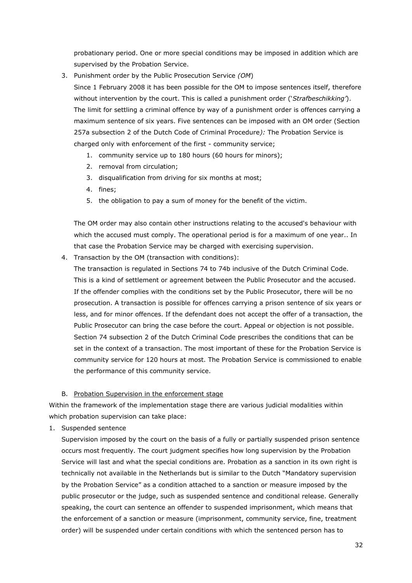probationary period. One or more special conditions may be imposed in addition which are supervised by the Probation Service.

- 3. Punishment order by the Public Prosecution Service *(OM*)
	- Since 1 February 2008 it has been possible for the OM to impose sentences itself, therefore without intervention by the court. This is called a punishment order ('*Strafbeschikking'*). The limit for settling a criminal offence by way of a punishment order is offences carrying a maximum sentence of six years. Five sentences can be imposed with an OM order (Section 257a subsection 2 of the Dutch Code of Criminal Procedure*):* The Probation Service is charged only with enforcement of the first - community service;
		- 1. community service up to 180 hours (60 hours for minors);
		- 2. removal from circulation;
		- 3. disqualification from driving for six months at most;
		- 4. fines;
		- 5. the obligation to pay a sum of money for the benefit of the victim.

The OM order may also contain other instructions relating to the accused's behaviour with which the accused must comply. The operational period is for a maximum of one year.. In that case the Probation Service may be charged with exercising supervision.

4. Transaction by the OM (transaction with conditions):

The transaction is regulated in Sections 74 to 74b inclusive of the Dutch Criminal Code. This is a kind of settlement or agreement between the Public Prosecutor and the accused. If the offender complies with the conditions set by the Public Prosecutor, there will be no prosecution. A transaction is possible for offences carrying a prison sentence of six years or less, and for minor offences. If the defendant does not accept the offer of a transaction, the Public Prosecutor can bring the case before the court. Appeal or objection is not possible. Section 74 subsection 2 of the Dutch Criminal Code prescribes the conditions that can be set in the context of a transaction. The most important of these for the Probation Service is community service for 120 hours at most. The Probation Service is commissioned to enable the performance of this community service.

#### B. Probation Supervision in the enforcement stage

Within the framework of the implementation stage there are various judicial modalities within which probation supervision can take place:

1. Suspended sentence

Supervision imposed by the court on the basis of a fully or partially suspended prison sentence occurs most frequently. The court judgment specifies how long supervision by the Probation Service will last and what the special conditions are. Probation as a sanction in its own right is technically not available in the Netherlands but is similar to the Dutch "Mandatory supervision by the Probation Service" as a condition attached to a sanction or measure imposed by the public prosecutor or the judge, such as suspended sentence and conditional release. Generally speaking, the court can sentence an offender to suspended imprisonment, which means that the enforcement of a sanction or measure (imprisonment, community service, fine, treatment order) will be suspended under certain conditions with which the sentenced person has to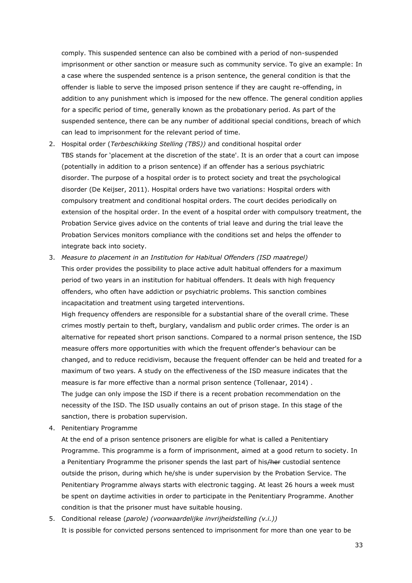comply. This suspended sentence can also be combined with a period of non-suspended imprisonment or other sanction or measure such as community service. To give an example: In a case where the suspended sentence is a prison sentence, the general condition is that the offender is liable to serve the imposed prison sentence if they are caught re-offending, in addition to any punishment which is imposed for the new offence. The general condition applies for a specific period of time, generally known as the probationary period. As part of the suspended sentence, there can be any number of additional special conditions, breach of which can lead to imprisonment for the relevant period of time.

- 2. Hospital order (*Terbeschikking Stelling (TBS))* and conditional hospital order TBS stands for 'placement at the discretion of the state'. It is an order that a court can impose (potentially in addition to a prison sentence) if an offender has a serious psychiatric disorder. The purpose of a hospital order is to protect society and treat the psychological disorder (De Keijser, 2011). Hospital orders have two variations: Hospital orders with compulsory treatment and conditional hospital orders. The court decides periodically on extension of the hospital order. In the event of a hospital order with compulsory treatment, the Probation Service gives advice on the contents of trial leave and during the trial leave the Probation Services monitors compliance with the conditions set and helps the offender to integrate back into society.
- 3. *Measure to placement in an Institution for Habitual Offenders (ISD maatregel)* This order provides the possibility to place active adult habitual offenders for a maximum period of two years in an institution for habitual offenders. It deals with high frequency offenders, who often have addiction or psychiatric problems. This sanction combines incapacitation and treatment using targeted interventions.

High frequency offenders are responsible for a substantial share of the overall crime. These crimes mostly pertain to theft, burglary, vandalism and public order crimes. The order is an alternative for repeated short prison sanctions. Compared to a normal prison sentence, the ISD measure offers more opportunities with which the frequent offender's behaviour can be changed, and to reduce recidivism, because the frequent offender can be held and treated for a maximum of two years. A study on the effectiveness of the ISD measure indicates that the measure is far more effective than a normal prison sentence (Tollenaar, 2014) . The judge can only impose the ISD if there is a recent probation recommendation on the necessity of the ISD. The ISD usually contains an out of prison stage. In this stage of the sanction, there is probation supervision.

4. Penitentiary Programme

At the end of a prison sentence prisoners are eligible for what is called a Penitentiary Programme. This programme is a form of imprisonment, aimed at a good return to society. In a Penitentiary Programme the prisoner spends the last part of his/her custodial sentence outside the prison, during which he/she is under supervision by the Probation Service. The Penitentiary Programme always starts with electronic tagging. At least 26 hours a week must be spent on daytime activities in order to participate in the Penitentiary Programme. Another condition is that the prisoner must have suitable housing.

5. Conditional release (*parole) (voorwaardelijke invrijheidstelling (v.i.))* It is possible for convicted persons sentenced to imprisonment for more than one year to be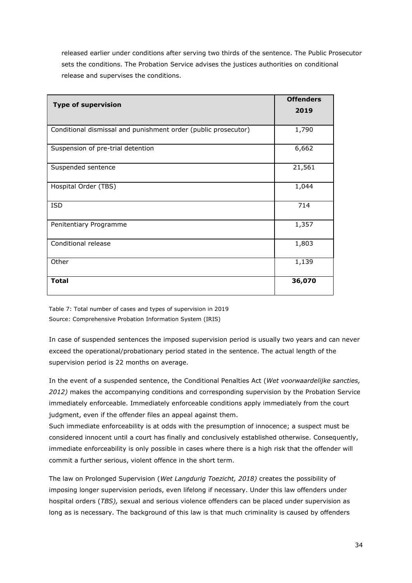released earlier under conditions after serving two thirds of the sentence. The Public Prosecutor sets the conditions. The Probation Service advises the justices authorities on conditional release and supervises the conditions.

| <b>Type of supervision</b>                                     | <b>Offenders</b> |
|----------------------------------------------------------------|------------------|
|                                                                | 2019             |
|                                                                |                  |
| Conditional dismissal and punishment order (public prosecutor) | 1,790            |
| Suspension of pre-trial detention                              | 6,662            |
| Suspended sentence                                             | 21,561           |
| Hospital Order (TBS)                                           | 1,044            |
| <b>ISD</b>                                                     | 714              |
| Penitentiary Programme                                         | 1,357            |
| Conditional release                                            | 1,803            |
| Other                                                          | 1,139            |
| <b>Total</b>                                                   | 36,070           |

Table 7: Total number of cases and types of supervision in 2019 Source: Comprehensive Probation Information System (IRIS)

In case of suspended sentences the imposed supervision period is usually two years and can never exceed the operational/probationary period stated in the sentence. The actual length of the supervision period is 22 months on average.

In the event of a suspended sentence, the Conditional Penalties Act (*Wet voorwaardelijke sancties, 2012)* makes the accompanying conditions and corresponding supervision by the Probation Service immediately enforceable. Immediately enforceable conditions apply immediately from the court judgment, even if the offender files an appeal against them.

Such immediate enforceability is at odds with the presumption of innocence; a suspect must be considered innocent until a court has finally and conclusively established otherwise. Consequently, immediate enforceability is only possible in cases where there is a high risk that the offender will commit a further serious, violent offence in the short term.

The law on Prolonged Supervision (*Wet Langdurig Toezicht, 2018)* creates the possibility of imposing longer supervision periods, even lifelong if necessary. Under this law offenders under hospital orders (*TBS),* sexual and serious violence offenders can be placed under supervision as long as is necessary. The background of this law is that much criminality is caused by offenders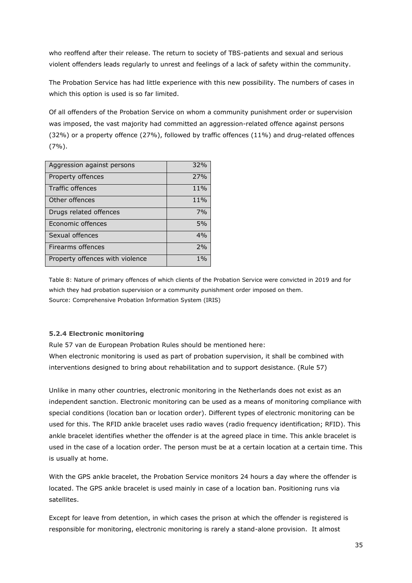who reoffend after their release. The return to society of TBS-patients and sexual and serious violent offenders leads regularly to unrest and feelings of a lack of safety within the community.

The Probation Service has had little experience with this new possibility. The numbers of cases in which this option is used is so far limited.

Of all offenders of the Probation Service on whom a community punishment order or supervision was imposed, the vast majority had committed an aggression-related offence against persons (32%) or a property offence (27%), followed by traffic offences (11%) and drug-related offences (7%).

| Aggression against persons      | 32%   |
|---------------------------------|-------|
| Property offences               | 27%   |
| Traffic offences                | 11%   |
| Other offences                  | 11%   |
| Drugs related offences          | 7%    |
| Economic offences               | 5%    |
| Sexual offences                 | 4%    |
| <b>Firearms offences</b>        | 2%    |
| Property offences with violence | $1\%$ |

Table 8: Nature of primary offences of which clients of the Probation Service were convicted in 2019 and for which they had probation supervision or a community punishment order imposed on them. Source: Comprehensive Probation Information System (IRIS)

#### **5.2.4 Electronic monitoring**

Rule 57 van de European Probation Rules should be mentioned here: When electronic monitoring is used as part of probation supervision, it shall be combined with interventions designed to bring about rehabilitation and to support desistance. (Rule 57)

Unlike in many other countries, electronic monitoring in the Netherlands does not exist as an independent sanction. Electronic monitoring can be used as a means of monitoring compliance with special conditions (location ban or location order). Different types of electronic monitoring can be used for this. The RFID ankle bracelet uses radio waves (radio frequency identification; RFID). This ankle bracelet identifies whether the offender is at the agreed place in time. This ankle bracelet is used in the case of a location order. The person must be at a certain location at a certain time. This is usually at home.

With the GPS ankle bracelet, the Probation Service monitors 24 hours a day where the offender is located. The GPS ankle bracelet is used mainly in case of a location ban. Positioning runs via satellites.

Except for leave from detention, in which cases the prison at which the offender is registered is responsible for monitoring, electronic monitoring is rarely a stand-alone provision. It almost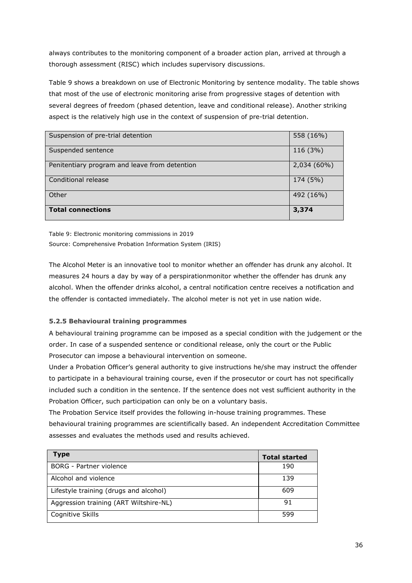always contributes to the monitoring component of a broader action plan, arrived at through a thorough assessment (RISC) which includes supervisory discussions.

Table 9 shows a breakdown on use of Electronic Monitoring by sentence modality. The table shows that most of the use of electronic monitoring arise from progressive stages of detention with several degrees of freedom (phased detention, leave and conditional release). Another striking aspect is the relatively high use in the context of suspension of pre-trial detention.

| Suspension of pre-trial detention             | 558 (16%)   |
|-----------------------------------------------|-------------|
| Suspended sentence                            | 116 (3%)    |
| Penitentiary program and leave from detention | 2,034 (60%) |
| Conditional release                           | 174 (5%)    |
| Other                                         | 492 (16%)   |
| <b>Total connections</b>                      | 3,374       |

Table 9: Electronic monitoring commissions in 2019 Source: Comprehensive Probation Information System (IRIS)

The Alcohol Meter is an innovative tool to monitor whether an offender has drunk any alcohol. It measures 24 hours a day by way of a perspirationmonitor whether the offender has drunk any alcohol. When the offender drinks alcohol, a central notification centre receives a notification and the offender is contacted immediately. The alcohol meter is not yet in use nation wide.

# **5.2.5 Behavioural training programmes**

A behavioural training programme can be imposed as a special condition with the judgement or the order. In case of a suspended sentence or conditional release, only the court or the Public Prosecutor can impose a behavioural intervention on someone.

Under a Probation Officer's general authority to give instructions he/she may instruct the offender to participate in a behavioural training course, even if the prosecutor or court has not specifically included such a condition in the sentence. If the sentence does not vest sufficient authority in the Probation Officer, such participation can only be on a voluntary basis.

The Probation Service itself provides the following in-house training programmes. These behavioural training programmes are scientifically based. An independent Accreditation Committee assesses and evaluates the methods used and results achieved.

| <b>Type</b>                            | <b>Total started</b> |
|----------------------------------------|----------------------|
| <b>BORG</b> - Partner violence         | 190                  |
| Alcohol and violence                   | 139                  |
| Lifestyle training (drugs and alcohol) | 609                  |
| Aggression training (ART Wiltshire-NL) | 91                   |
| Cognitive Skills                       | 599                  |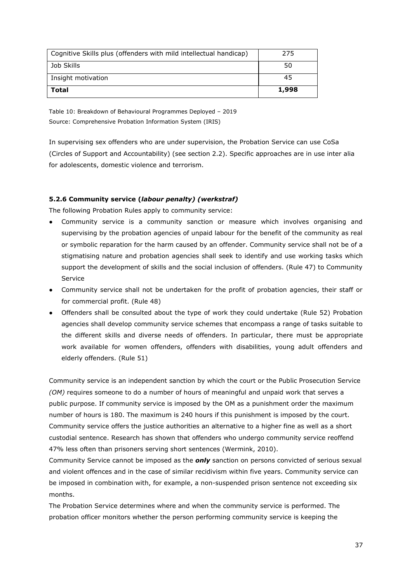| <b>Total</b>                                                      | 1,998 |
|-------------------------------------------------------------------|-------|
| Insight motivation                                                | 45    |
| Job Skills                                                        | 50    |
| Cognitive Skills plus (offenders with mild intellectual handicap) | 275   |

Table 10: Breakdown of Behavioural Programmes Deployed – 2019 Source: Comprehensive Probation Information System (IRIS)

In supervising sex offenders who are under supervision, the Probation Service can use CoSa (Circles of Support and Accountability) (see section 2.2). Specific approaches are in use inter alia for adolescents, domestic violence and terrorism.

## **5.2.6 Community service (***labour penalty) (werkstraf)*

The following Probation Rules apply to community service:

- Community service is a community sanction or measure which involves organising and supervising by the probation agencies of unpaid labour for the benefit of the community as real or symbolic reparation for the harm caused by an offender. Community service shall not be of a stigmatising nature and probation agencies shall seek to identify and use working tasks which support the development of skills and the social inclusion of offenders. (Rule 47) to Community Service
- Community service shall not be undertaken for the profit of probation agencies, their staff or for commercial profit. (Rule 48)
- Offenders shall be consulted about the type of work they could undertake (Rule 52) Probation agencies shall develop community service schemes that encompass a range of tasks suitable to the different skills and diverse needs of offenders. In particular, there must be appropriate work available for women offenders, offenders with disabilities, young adult offenders and elderly offenders. (Rule 51)

Community service is an independent sanction by which the court or the Public Prosecution Service *(OM)* requires someone to do a number of hours of meaningful and unpaid work that serves a public purpose. If community service is imposed by the OM as a punishment order the maximum number of hours is 180. The maximum is 240 hours if this punishment is imposed by the court. Community service offers the justice authorities an alternative to a higher fine as well as a short custodial sentence. Research has shown that offenders who undergo community service reoffend 47% less often than prisoners serving short sentences (Wermink, 2010).

Community Service cannot be imposed as the *only* sanction on persons convicted of serious sexual and violent offences and in the case of similar recidivism within five years. Community service can be imposed in combination with, for example, a non-suspended prison sentence not exceeding six months.

The Probation Service determines where and when the community service is performed. The probation officer monitors whether the person performing community service is keeping the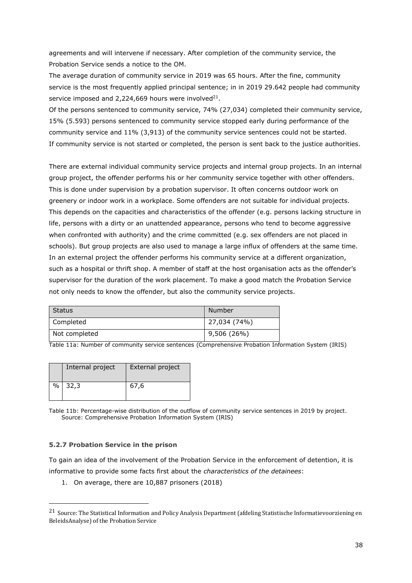agreements and will intervene if necessary. After completion of the community service, the Probation Service sends a notice to the OM.

The average duration of community service in 2019 was 65 hours. After the fine, community service is the most frequently applied principal sentence; in in 2019 29.642 people had community service imposed and 2,224,669 hours were involved $^{21}$ .

Of the persons sentenced to community service, 74% (27,034) completed their community service, 15% (5.593) persons sentenced to community service stopped early during performance of the community service and 11% (3,913) of the community service sentences could not be started. If community service is not started or completed, the person is sent back to the justice authorities.

There are external individual community service projects and internal group projects. In an internal group project, the offender performs his or her community service together with other offenders. This is done under supervision by a probation supervisor. It often concerns outdoor work on greenery or indoor work in a workplace. Some offenders are not suitable for individual projects. This depends on the capacities and characteristics of the offender (e.g. persons lacking structure in life, persons with a dirty or an unattended appearance, persons who tend to become aggressive when confronted with authority) and the crime committed (e.g. sex offenders are not placed in schools). But group projects are also used to manage a large influx of offenders at the same time. In an external project the offender performs his community service at a different organization, such as a hospital or thrift shop. A member of staff at the host organisation acts as the offender's supervisor for the duration of the work placement. To make a good match the Probation Service not only needs to know the offender, but also the community service projects.

| Status        | Number       |
|---------------|--------------|
| Completed     | 27,034 (74%) |
| Not completed | 9,506 (26%)  |

Table 11a: Number of community service sentences (Comprehensive Probation Information System (IRIS)

|   | Internal project | External project |
|---|------------------|------------------|
| % | 32,3             | 67.6             |

Table 11b: Percentage-wise distribution of the outflow of community service sentences in 2019 by project. Source: Comprehensive Probation Information System (IRIS)

#### **5.2.7 Probation Service in the prison**

To gain an idea of the involvement of the Probation Service in the enforcement of detention, it is informative to provide some facts first about the *characteristics of the detainees*:

1. On average, there are 10,887 prisoners (2018)

<sup>21</sup> Source: The Statistical Information and Policy Analysis Department (afdeling Statistische Informatievoorziening en BeleidsAnalyse) of the Probation Service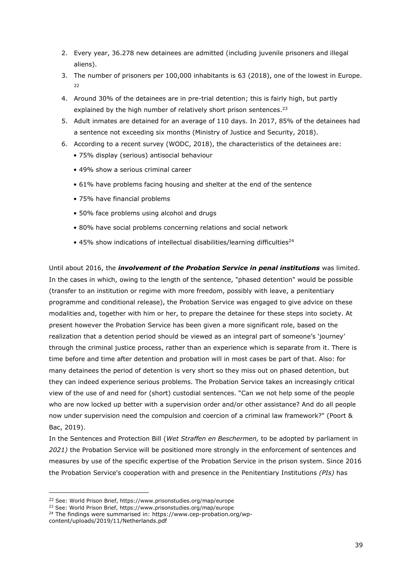- 2. Every year, 36.278 new detainees are admitted (including juvenile prisoners and illegal aliens).
- 3. The number of prisoners per 100,000 inhabitants is 63 (2018), one of the lowest in Europe. 22
- 4. Around 30% of the detainees are in pre-trial detention; this is fairly high, but partly explained by the high number of relatively short prison sentences.<sup>23</sup>
- 5. Adult inmates are detained for an average of 110 days. In 2017, 85% of the detainees had a sentence not exceeding six months (Ministry of Justice and Security, 2018).
- 6. According to a recent survey (WODC, 2018), the characteristics of the detainees are:
	- 75% display (serious) antisocial behaviour
	- 49% show a serious criminal career
	- 61% have problems facing housing and shelter at the end of the sentence
	- 75% have financial problems
	- 50% face problems using alcohol and drugs
	- 80% have social problems concerning relations and social network
	- $\bullet$  45% show indications of intellectual disabilities/learning difficulties<sup>24</sup>

Until about 2016, the *involvement of the Probation Service in penal institutions* was limited. In the cases in which, owing to the length of the sentence, "phased detention" would be possible (transfer to an institution or regime with more freedom, possibly with leave, a penitentiary programme and conditional release), the Probation Service was engaged to give advice on these modalities and, together with him or her, to prepare the detainee for these steps into society. At present however the Probation Service has been given a more significant role, based on the realization that a detention period should be viewed as an integral part of someone's 'journey' through the criminal justice process, rather than an experience which is separate from it. There is time before and time after detention and probation will in most cases be part of that. Also: for many detainees the period of detention is very short so they miss out on phased detention, but they can indeed experience serious problems. The Probation Service takes an increasingly critical view of the use of and need for (short) custodial sentences. "Can we not help some of the people who are now locked up better with a supervision order and/or other assistance? And do all people now under supervision need the compulsion and coercion of a criminal law framework?" (Poort & Bac, 2019).

In the Sentences and Protection Bill (*Wet Straffen en Beschermen,* to be adopted by parliament in *2021)* the Probation Service will be positioned more strongly in the enforcement of sentences and measures by use of the specific expertise of the Probation Service in the prison system. Since 2016 the Probation Service's cooperation with and presence in the Penitentiary Institutions *(PIs)* has

<sup>22</sup> See: World Prison Brief, https://www.prisonstudies.org/map/europe

<sup>23</sup> See: World Prison Brief, https://www.prisonstudies.org/map/europe

<sup>&</sup>lt;sup>24</sup> The findings were summarised in: https://www.cep-probation.org/wp-

content/uploads/2019/11/Netherlands.pdf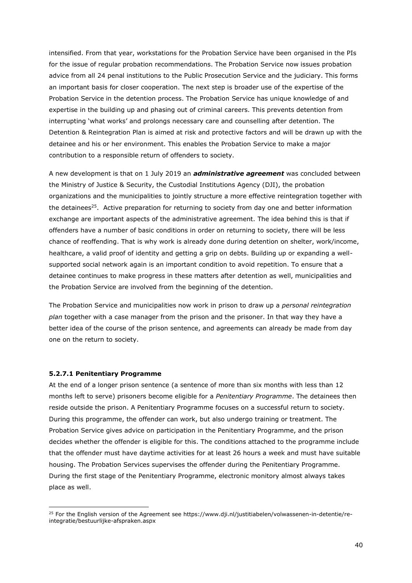intensified. From that year, workstations for the Probation Service have been organised in the PIs for the issue of regular probation recommendations. The Probation Service now issues probation advice from all 24 penal institutions to the Public Prosecution Service and the judiciary. This forms an important basis for closer cooperation. The next step is broader use of the expertise of the Probation Service in the detention process. The Probation Service has unique knowledge of and expertise in the building up and phasing out of criminal careers. This prevents detention from interrupting 'what works' and prolongs necessary care and counselling after detention. The Detention & Reintegration Plan is aimed at risk and protective factors and will be drawn up with the detainee and his or her environment. This enables the Probation Service to make a major contribution to a responsible return of offenders to society.

A new development is that on 1 July 2019 an *administrative agreement* was concluded between the Ministry of Justice & Security, the Custodial Institutions Agency (DJI), the probation organizations and the municipalities to jointly structure a more effective reintegration together with the detainees<sup>25</sup>. Active preparation for returning to society from day one and better information exchange are important aspects of the administrative agreement. The idea behind this is that if offenders have a number of basic conditions in order on returning to society, there will be less chance of reoffending. That is why work is already done during detention on shelter, work/income, healthcare, a valid proof of identity and getting a grip on debts. Building up or expanding a wellsupported social network again is an important condition to avoid repetition. To ensure that a detainee continues to make progress in these matters after detention as well, municipalities and the Probation Service are involved from the beginning of the detention.

The Probation Service and municipalities now work in prison to draw up a *personal reintegration plan* together with a case manager from the prison and the prisoner. In that way they have a better idea of the course of the prison sentence, and agreements can already be made from day one on the return to society.

#### **5.2.7.1 Penitentiary Programme**

At the end of a longer prison sentence (a sentence of more than six months with less than 12 months left to serve) prisoners become eligible for a *Penitentiary Programme*. The detainees then reside outside the prison. A Penitentiary Programme focuses on a successful return to society. During this programme, the offender can work, but also undergo training or treatment. The Probation Service gives advice on participation in the Penitentiary Programme, and the prison decides whether the offender is eligible for this. The conditions attached to the programme include that the offender must have daytime activities for at least 26 hours a week and must have suitable housing. The Probation Services supervises the offender during the Penitentiary Programme. During the first stage of the Penitentiary Programme, electronic monitory almost always takes place as well.

<sup>&</sup>lt;sup>25</sup> For the English version of the Agreement see https://www.dji.nl/justitiabelen/volwassenen-in-detentie/reintegratie/bestuurlijke-afspraken.aspx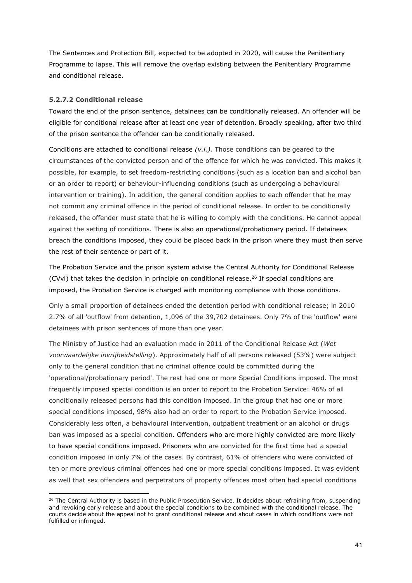The Sentences and Protection Bill, expected to be adopted in 2020, will cause the Penitentiary Programme to lapse. This will remove the overlap existing between the Penitentiary Programme and conditional release.

#### **5.2.7.2 Conditional release**

Toward the end of the prison sentence, detainees can be conditionally released. An offender will be eligible for conditional release after at least one year of detention. Broadly speaking, after two third of the prison sentence the offender can be conditionally released.

Conditions are attached to conditional release *(v.i.).* Those conditions can be geared to the circumstances of the convicted person and of the offence for which he was convicted. This makes it possible, for example, to set freedom-restricting conditions (such as a location ban and alcohol ban or an order to report) or behaviour-influencing conditions (such as undergoing a behavioural intervention or training). In addition, the general condition applies to each offender that he may not commit any criminal offence in the period of conditional release. In order to be conditionally released, the offender must state that he is willing to comply with the conditions. He cannot appeal against the setting of conditions. There is also an operational/probationary period. If detainees breach the conditions imposed, they could be placed back in the prison where they must then serve the rest of their sentence or part of it.

The Probation Service and the prison system advise the Central Authority for Conditional Release (CVvi) that takes the decision in principle on conditional release. <sup>26</sup> If special conditions are imposed, the Probation Service is charged with monitoring compliance with those conditions.

Only a small proportion of detainees ended the detention period with conditional release; in 2010 2.7% of all 'outflow' from detention, 1,096 of the 39,702 detainees. Only 7% of the 'outflow' were detainees with prison sentences of more than one year.

The Ministry of Justice had an evaluation made in 2011 of the Conditional Release Act (*Wet voorwaardelijke invrijheidstelling*). Approximately half of all persons released (53%) were subject only to the general condition that no criminal offence could be committed during the 'operational/probationary period'. The rest had one or more Special Conditions imposed. The most frequently imposed special condition is an order to report to the Probation Service: 46% of all conditionally released persons had this condition imposed. In the group that had one or more special conditions imposed, 98% also had an order to report to the Probation Service imposed. Considerably less often, a behavioural intervention, outpatient treatment or an alcohol or drugs ban was imposed as a special condition. Offenders who are more highly convicted are more likely to have special conditions imposed. Prisoners who are convicted for the first time had a special condition imposed in only 7% of the cases. By contrast, 61% of offenders who were convicted of ten or more previous criminal offences had one or more special conditions imposed. It was evident as well that sex offenders and perpetrators of property offences most often had special conditions

<sup>&</sup>lt;sup>26</sup> The Central Authority is based in the Public Prosecution Service. It decides about refraining from, suspending and revoking early release and about the special conditions to be combined with the conditional release. The courts decide about the appeal not to grant conditional release and about cases in which conditions were not fulfilled or infringed.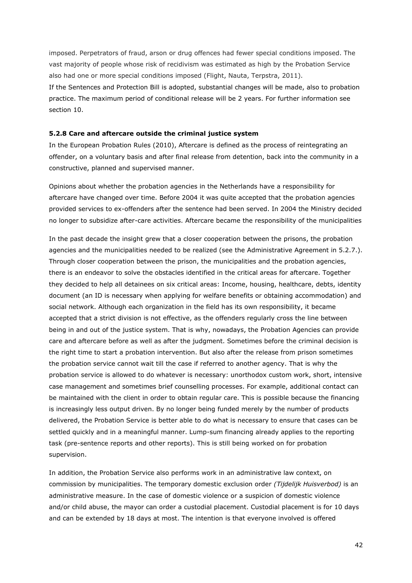imposed. Perpetrators of fraud, arson or drug offences had fewer special conditions imposed. The vast majority of people whose risk of recidivism was estimated as high by the Probation Service also had one or more special conditions imposed (Flight, Nauta, Terpstra, 2011). If the Sentences and Protection Bill is adopted, substantial changes will be made, also to probation practice. The maximum period of conditional release will be 2 years. For further information see section 10.

#### **5.2.8 Care and aftercare outside the criminal justice system**

In the European Probation Rules (2010), Aftercare is defined as the process of reintegrating an offender, on a voluntary basis and after final release from detention, back into the community in a constructive, planned and supervised manner.

Opinions about whether the probation agencies in the Netherlands have a responsibility for aftercare have changed over time. Before 2004 it was quite accepted that the probation agencies provided services to ex-offenders after the sentence had been served. In 2004 the Ministry decided no longer to subsidize after-care activities. Aftercare became the responsibility of the municipalities

In the past decade the insight grew that a closer cooperation between the prisons, the probation agencies and the municipalities needed to be realized (see the Administrative Agreement in 5.2.7.). Through closer cooperation between the prison, the municipalities and the probation agencies, there is an endeavor to solve the obstacles identified in the critical areas for aftercare. Together they decided to help all detainees on six critical areas: Income, housing, healthcare, debts, identity document (an ID is necessary when applying for welfare benefits or obtaining accommodation) and social network. Although each organization in the field has its own responsibility, it became accepted that a strict division is not effective, as the offenders regularly cross the line between being in and out of the justice system. That is why, nowadays, the Probation Agencies can provide care and aftercare before as well as after the judgment. Sometimes before the criminal decision is the right time to start a probation intervention. But also after the release from prison sometimes the probation service cannot wait till the case if referred to another agency. That is why the probation service is allowed to do whatever is necessary: unorthodox custom work, short, intensive case management and sometimes brief counselling processes. For example, additional contact can be maintained with the client in order to obtain regular care. This is possible because the financing is increasingly less output driven. By no longer being funded merely by the number of products delivered, the Probation Service is better able to do what is necessary to ensure that cases can be settled quickly and in a meaningful manner. Lump-sum financing already applies to the reporting task (pre-sentence reports and other reports). This is still being worked on for probation supervision.

In addition, the Probation Service also performs work in an administrative law context, on commission by municipalities. The temporary domestic exclusion order *(Tijdelijk Huisverbod)* is an administrative measure. In the case of domestic violence or a suspicion of domestic violence and/or child abuse, the mayor can order a custodial placement. Custodial placement is for 10 days and can be extended by 18 days at most. The intention is that everyone involved is offered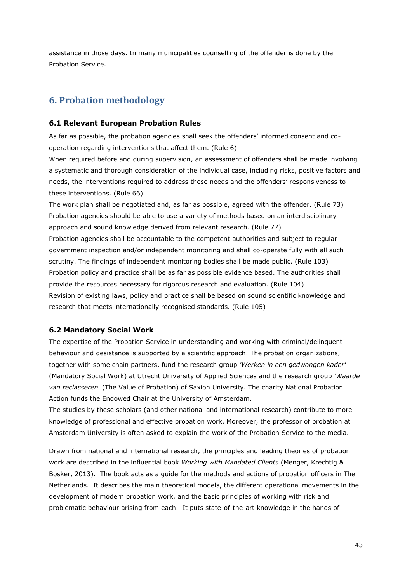assistance in those days. In many municipalities counselling of the offender is done by the Probation Service.

# **6. Probation methodology**

## **6.1 Relevant European Probation Rules**

As far as possible, the probation agencies shall seek the offenders' informed consent and cooperation regarding interventions that affect them. (Rule 6)

When required before and during supervision, an assessment of offenders shall be made involving a systematic and thorough consideration of the individual case, including risks, positive factors and needs, the interventions required to address these needs and the offenders' responsiveness to these interventions. (Rule 66)

The work plan shall be negotiated and, as far as possible, agreed with the offender. (Rule 73) Probation agencies should be able to use a variety of methods based on an interdisciplinary approach and sound knowledge derived from relevant research. (Rule 77) Probation agencies shall be accountable to the competent authorities and subject to regular government inspection and/or independent monitoring and shall co-operate fully with all such scrutiny. The findings of independent monitoring bodies shall be made public. (Rule 103) Probation policy and practice shall be as far as possible evidence based. The authorities shall provide the resources necessary for rigorous research and evaluation. (Rule 104) Revision of existing laws, policy and practice shall be based on sound scientific knowledge and research that meets internationally recognised standards. (Rule 105)

# **6.2 Mandatory Social Work**

The expertise of the Probation Service in understanding and working with criminal/delinquent behaviour and desistance is supported by a scientific approach. The probation organizations, together with some chain partners, fund the research group *'Werken in een gedwongen kader'*  (Mandatory Social Work) at Utrecht University of Applied Sciences and the research group *'Waarde van reclasseren*' (The Value of Probation) of Saxion University. The charity National Probation Action funds the Endowed Chair at the University of Amsterdam.

The studies by these scholars (and other national and international research) contribute to more knowledge of professional and effective probation work. Moreover, the professor of probation at Amsterdam University is often asked to explain the work of the Probation Service to the media.

Drawn from national and international research, the principles and leading theories of probation work are described in the influential book *Working with Mandated Clients* (Menger, Krechtig & Bosker, 2013). The book acts as a guide for the methods and actions of probation officers in The Netherlands. It describes the main theoretical models, the different operational movements in the development of modern probation work, and the basic principles of working with risk and problematic behaviour arising from each. It puts state-of-the-art knowledge in the hands of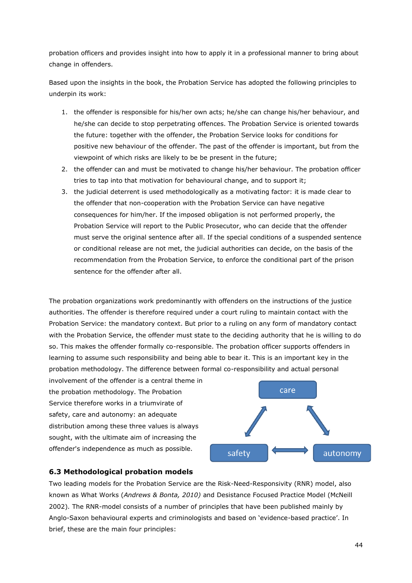probation officers and provides insight into how to apply it in a professional manner to bring about change in offenders.

Based upon the insights in the book, the Probation Service has adopted the following principles to underpin its work:

- 1. the offender is responsible for his/her own acts; he/she can change his/her behaviour, and he/she can decide to stop perpetrating offences. The Probation Service is oriented towards the future: together with the offender, the Probation Service looks for conditions for positive new behaviour of the offender. The past of the offender is important, but from the viewpoint of which risks are likely to be be present in the future;
- 2. the offender can and must be motivated to change his/her behaviour. The probation officer tries to tap into that motivation for behavioural change, and to support it;
- 3. the judicial deterrent is used methodologically as a motivating factor: it is made clear to the offender that non-cooperation with the Probation Service can have negative consequences for him/her. If the imposed obligation is not performed properly, the Probation Service will report to the Public Prosecutor, who can decide that the offender must serve the original sentence after all. If the special conditions of a suspended sentence or conditional release are not met, the judicial authorities can decide, on the basis of the recommendation from the Probation Service, to enforce the conditional part of the prison sentence for the offender after all.

The probation organizations work predominantly with offenders on the instructions of the justice authorities. The offender is therefore required under a court ruling to maintain contact with the Probation Service: the mandatory context. But prior to a ruling on any form of mandatory contact with the Probation Service, the offender must state to the deciding authority that he is willing to do so. This makes the offender formally co-responsible. The probation officer supports offenders in learning to assume such responsibility and being able to bear it. This is an important key in the probation methodology. The difference between formal co-responsibility and actual personal

involvement of the offender is a central theme in the probation methodology. The Probation Service therefore works in a triumvirate of safety, care and autonomy: an adequate distribution among these three values is always sought, with the ultimate aim of increasing the offender's independence as much as possible.



#### **6.3 Methodological probation models**

Two leading models for the Probation Service are the Risk-Need-Responsivity (RNR) model, also known as What Works (*Andrews & Bonta, 2010)* and Desistance Focused Practice Model (McNeill 2002)*.* The RNR-model consists of a number of principles that have been published mainly by Anglo-Saxon behavioural experts and criminologists and based on 'evidence-based practice'. In brief, these are the main four principles: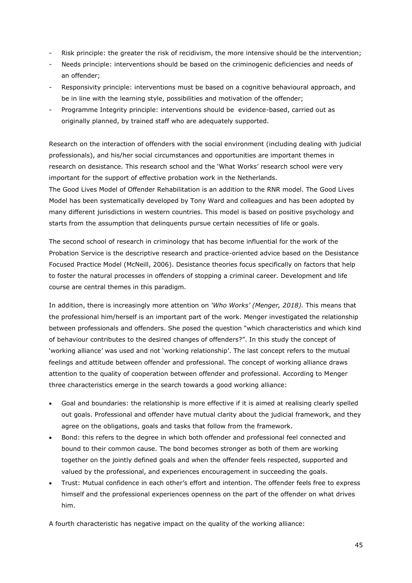- Risk principle: the greater the risk of recidivism, the more intensive should be the intervention;
- Needs principle: interventions should be based on the criminogenic deficiencies and needs of an offender;
- Responsivity principle: interventions must be based on a cognitive behavioural approach, and be in line with the learning style, possibilities and motivation of the offender;
- Programme Integrity principle: interventions should be evidence-based, carried out as originally planned, by trained staff who are adequately supported.

Research on the interaction of offenders with the social environment (including dealing with judicial professionals), and his/her social circumstances and opportunities are important themes in research on desistance. This research school and the 'What Works' research school were very important for the support of effective probation work in the Netherlands.

The Good Lives Model of Offender Rehabilitation is an addition to the RNR model. The Good Lives Model has been systematically developed by Tony Ward and colleagues and has been adopted by many different jurisdictions in western countries. This model is based on positive psychology and starts from the assumption that delinquents pursue certain necessities of life or goals.

The second school of research in criminology that has become influential for the work of the Probation Service is the descriptive research and practice-oriented advice based on the Desistance Focused Practice Model (McNeill, 2006). Desistance theories focus specifically on factors that help to foster the natural processes in offenders of stopping a criminal career. Development and life course are central themes in this paradigm.

In addition, there is increasingly more attention on *'Who Works' (Menger, 2018).* This means that the professional him/herself is an important part of the work. Menger investigated the relationship between professionals and offenders. She posed the question "which characteristics and which kind of behaviour contributes to the desired changes of offenders?". In this study the concept of 'working alliance' was used and not 'working relationship'. The last concept refers to the mutual feelings and attitude between offender and professional. The concept of working alliance draws attention to the quality of cooperation between offender and professional. According to Menger three characteristics emerge in the search towards a good working alliance:

- Goal and boundaries: the relationship is more effective if it is aimed at realising clearly spelled out goals. Professional and offender have mutual clarity about the judicial framework, and they agree on the obligations, goals and tasks that follow from the framework.
- Bond: this refers to the degree in which both offender and professional feel connected and bound to their common cause. The bond becomes stronger as both of them are working together on the jointly defined goals and when the offender feels respected, supported and valued by the professional, and experiences encouragement in succeeding the goals.
- Trust: Mutual confidence in each other's effort and intention. The offender feels free to express himself and the professional experiences openness on the part of the offender on what drives him.

A fourth characteristic has negative impact on the quality of the working alliance: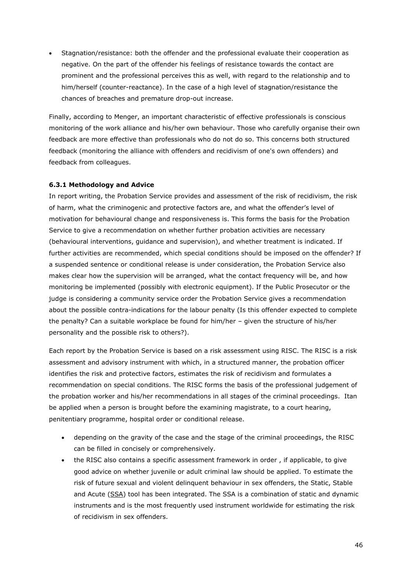• Stagnation/resistance: both the offender and the professional evaluate their cooperation as negative. On the part of the offender his feelings of resistance towards the contact are prominent and the professional perceives this as well, with regard to the relationship and to him/herself (counter-reactance). In the case of a high level of stagnation/resistance the chances of breaches and premature drop-out increase.

Finally, according to Menger, an important characteristic of effective professionals is conscious monitoring of the work alliance and his/her own behaviour. Those who carefully organise their own feedback are more effective than professionals who do not do so. This concerns both structured feedback (monitoring the alliance with offenders and recidivism of one's own offenders) and feedback from colleagues.

#### **6.3.1 Methodology and Advice**

In report writing, the Probation Service provides and assessment of the risk of recidivism, the risk of harm, what the criminogenic and protective factors are, and what the offender's level of motivation for behavioural change and responsiveness is. This forms the basis for the Probation Service to give a recommendation on whether further probation activities are necessary (behavioural interventions, guidance and supervision), and whether treatment is indicated. If further activities are recommended, which special conditions should be imposed on the offender? If a suspended sentence or conditional release is under consideration, the Probation Service also makes clear how the supervision will be arranged, what the contact frequency will be, and how monitoring be implemented (possibly with electronic equipment). If the Public Prosecutor or the judge is considering a community service order the Probation Service gives a recommendation about the possible contra-indications for the labour penalty (Is this offender expected to complete the penalty? Can a suitable workplace be found for him/her – given the structure of his/her personality and the possible risk to others?).

Each report by the Probation Service is based on a risk assessment using RISC. The RISC is a risk assessment and advisory instrument with which, in a structured manner, the probation officer identifies the risk and protective factors, estimates the risk of recidivism and formulates a recommendation on special conditions. The RISC forms the basis of the professional judgement of the probation worker and his/her recommendations in all stages of the criminal proceedings. Itan be applied when a person is brought before the examining magistrate, to a court hearing, penitentiary programme, hospital order or conditional release.

- depending on the gravity of the case and the stage of the criminal proceedings, the RISC can be filled in concisely or comprehensively.
- the RISC also contains a specific assessment framework in order, if applicable, to give good advice on whether juvenile or adult criminal law should be applied. To estimate the risk of future sexual and violent delinquent behaviour in sex offenders, the Static, Stable and Acute (SSA) tool has been integrated. The SSA is a combination of static and dynamic instruments and is the most frequently used instrument worldwide for estimating the risk of recidivism in sex offenders.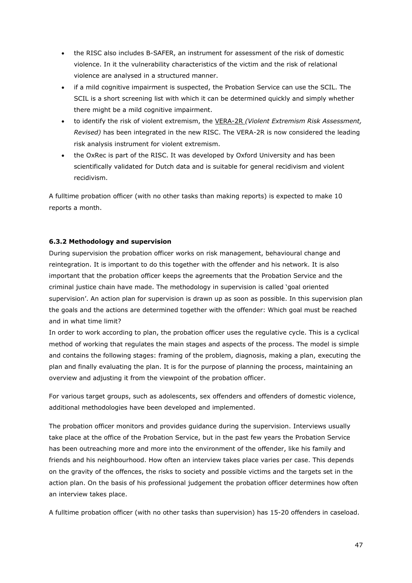- the RISC also includes B-SAFER, an instrument for assessment of the risk of domestic violence. In it the vulnerability characteristics of the victim and the risk of relational violence are analysed in a structured manner.
- if a mild cognitive impairment is suspected, the Probation Service can use the SCIL. The SCIL is a short screening list with which it can be determined quickly and simply whether there might be a mild cognitive impairment.
- to identify the risk of violent extremism, the VERA-2R *(Violent Extremism Risk Assessment, Revised)* has been integrated in the new RISC. The VERA-2R is now considered the leading risk analysis instrument for violent extremism.
- the OxRec is part of the RISC. It was developed by Oxford University and has been scientifically validated for Dutch data and is suitable for general recidivism and violent recidivism.

A fulltime probation officer (with no other tasks than making reports) is expected to make 10 reports a month.

## **6.3.2 Methodology and supervision**

During supervision the probation officer works on risk management, behavioural change and reintegration. It is important to do this together with the offender and his network. It is also important that the probation officer keeps the agreements that the Probation Service and the criminal justice chain have made. The methodology in supervision is called 'goal oriented supervision'. An action plan for supervision is drawn up as soon as possible. In this supervision plan the goals and the actions are determined together with the offender: Which goal must be reached and in what time limit?

In order to work according to plan, the probation officer uses the regulative cycle. This is a cyclical method of working that regulates the main stages and aspects of the process. The model is simple and contains the following stages: framing of the problem, diagnosis, making a plan, executing the plan and finally evaluating the plan. It is for the purpose of planning the process, maintaining an overview and adjusting it from the viewpoint of the probation officer.

For various target groups, such as adolescents, sex offenders and offenders of domestic violence, additional methodologies have been developed and implemented.

The probation officer monitors and provides guidance during the supervision. Interviews usually take place at the office of the Probation Service, but in the past few years the Probation Service has been outreaching more and more into the environment of the offender, like his family and friends and his neighbourhood. How often an interview takes place varies per case. This depends on the gravity of the offences, the risks to society and possible victims and the targets set in the action plan. On the basis of his professional judgement the probation officer determines how often an interview takes place.

A fulltime probation officer (with no other tasks than supervision) has 15-20 offenders in caseload.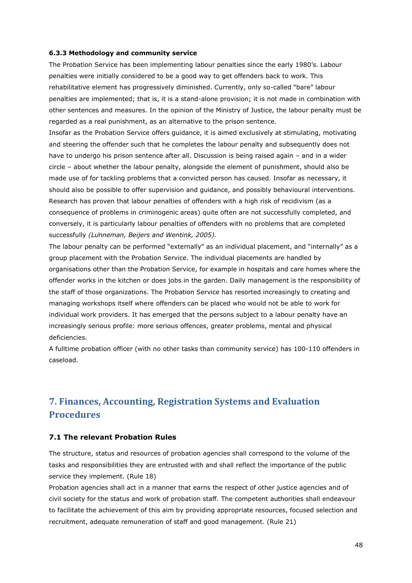#### **6.3.3 Methodology and community service**

The Probation Service has been implementing labour penalties since the early 1980's. Labour penalties were initially considered to be a good way to get offenders back to work. This rehabilitative element has progressively diminished. Currently, only so-called "bare" labour penalties are implemented; that is, it is a stand-alone provision; it is not made in combination with other sentences and measures. In the opinion of the Ministry of Justice, the labour penalty must be regarded as a real punishment, as an alternative to the prison sentence.

Insofar as the Probation Service offers guidance, it is aimed exclusively at stimulating, motivating and steering the offender such that he completes the labour penalty and subsequently does not have to undergo his prison sentence after all. Discussion is being raised again – and in a wider circle – about whether the labour penalty, alongside the element of punishment, should also be made use of for tackling problems that a convicted person has caused. Insofar as necessary, it should also be possible to offer supervision and guidance, and possibly behavioural interventions. Research has proven that labour penalties of offenders with a high risk of recidivism (as a consequence of problems in criminogenic areas) quite often are not successfully completed, and conversely, it is particularly labour penalties of offenders with no problems that are completed successfully *(Lünneman, Beijers and Wentink, 2005).* 

The labour penalty can be performed "externally" as an individual placement, and "internally" as a group placement with the Probation Service. The individual placements are handled by organisations other than the Probation Service, for example in hospitals and care homes where the offender works in the kitchen or does jobs in the garden. Daily management is the responsibility of the staff of those organizations. The Probation Service has resorted increasingly to creating and managing workshops itself where offenders can be placed who would not be able to work for individual work providers. It has emerged that the persons subject to a labour penalty have an increasingly serious profile: more serious offences, greater problems, mental and physical deficiencies.

A fulltime probation officer (with no other tasks than community service) has 100-110 offenders in caseload.

# **7. Finances, Accounting, Registration Systems and Evaluation Procedures**

#### **7.1 The relevant Probation Rules**

The structure, status and resources of probation agencies shall correspond to the volume of the tasks and responsibilities they are entrusted with and shall reflect the importance of the public service they implement. (Rule 18)

Probation agencies shall act in a manner that earns the respect of other justice agencies and of civil society for the status and work of probation staff. The competent authorities shall endeavour to facilitate the achievement of this aim by providing appropriate resources, focused selection and recruitment, adequate remuneration of staff and good management. (Rule 21)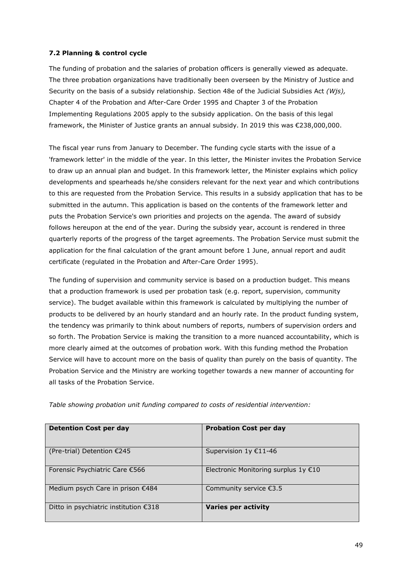### **7.2 Planning & control cycle**

The funding of probation and the salaries of probation officers is generally viewed as adequate. The three probation organizations have traditionally been overseen by the Ministry of Justice and Security on the basis of a subsidy relationship. Section 48e of the Judicial Subsidies Act *(Wjs),* Chapter 4 of the Probation and After-Care Order 1995 and Chapter 3 of the Probation Implementing Regulations 2005 apply to the subsidy application. On the basis of this legal framework, the Minister of Justice grants an annual subsidy. In 2019 this was €238,000,000.

The fiscal year runs from January to December. The funding cycle starts with the issue of a 'framework letter' in the middle of the year. In this letter, the Minister invites the Probation Service to draw up an annual plan and budget. In this framework letter, the Minister explains which policy developments and spearheads he/she considers relevant for the next year and which contributions to this are requested from the Probation Service. This results in a subsidy application that has to be submitted in the autumn. This application is based on the contents of the framework letter and puts the Probation Service's own priorities and projects on the agenda. The award of subsidy follows hereupon at the end of the year. During the subsidy year, account is rendered in three quarterly reports of the progress of the target agreements. The Probation Service must submit the application for the final calculation of the grant amount before 1 June, annual report and audit certificate (regulated in the Probation and After-Care Order 1995).

The funding of supervision and community service is based on a production budget. This means that a production framework is used per probation task (e.g. report, supervision, community service). The budget available within this framework is calculated by multiplying the number of products to be delivered by an hourly standard and an hourly rate. In the product funding system, the tendency was primarily to think about numbers of reports, numbers of supervision orders and so forth. The Probation Service is making the transition to a more nuanced accountability, which is more clearly aimed at the outcomes of probation work. With this funding method the Probation Service will have to account more on the basis of quality than purely on the basis of quantity. The Probation Service and the Ministry are working together towards a new manner of accounting for all tasks of the Probation Service.

| <b>Detention Cost per day</b>         | <b>Probation Cost per day</b>        |
|---------------------------------------|--------------------------------------|
| (Pre-trial) Detention €245            | Supervision $1y \text{ } \in 11-46$  |
| Forensic Psychiatric Care €566        | Electronic Monitoring surplus 1y €10 |
| Medium psych Care in prison €484      | Community service €3.5               |
| Ditto in psychiatric institution €318 | <b>Varies per activity</b>           |

*Table showing probation unit funding compared to costs of residential intervention:*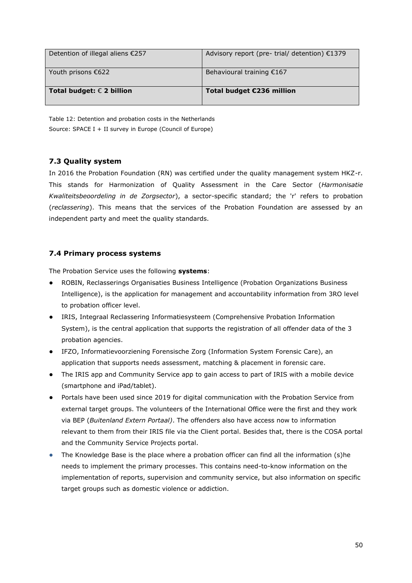| Detention of illegal aliens €257   | Advisory report (pre-trial/ detention) €1379 |
|------------------------------------|----------------------------------------------|
| Youth prisons $\epsilon$ 622       | Behavioural training €167                    |
| Total budget: $\epsilon$ 2 billion | Total budget €236 million                    |

Table 12: Detention and probation costs in the Netherlands Source: SPACE I + II survey in Europe (Council of Europe)

# **7.3 Quality system**

In 2016 the Probation Foundation (RN) was certified under the quality management system HKZ-r. This stands for Harmonization of Quality Assessment in the Care Sector (*Harmonisatie Kwaliteitsbeoordeling in de Zorgsector*), a sector-specific standard; the 'r' refers to probation (*reclassering*). This means that the services of the Probation Foundation are assessed by an independent party and meet the quality standards.

# **7.4 Primary process systems**

The Probation Service uses the following **systems**:

- ROBIN, Reclasserings Organisaties Business Intelligence (Probation Organizations Business Intelligence), is the application for management and accountability information from 3RO level to probation officer level.
- IRIS, Integraal Reclassering Informatiesysteem (Comprehensive Probation Information System), is the central application that supports the registration of all offender data of the 3 probation agencies.
- IFZO, Informatievoorziening Forensische Zorg (Information System Forensic Care), an application that supports needs assessment, matching & placement in forensic care.
- The IRIS app and Community Service app to gain access to part of IRIS with a mobile device (smartphone and iPad/tablet).
- Portals have been used since 2019 for digital communication with the Probation Service from external target groups. The volunteers of the International Office were the first and they work via BEP (*Buitenland Extern Portaal)*. The offenders also have access now to information relevant to them from their IRIS file via the Client portal. Besides that, there is the COSA portal and the Community Service Projects portal.
- The Knowledge Base is the place where a probation officer can find all the information (s)he needs to implement the primary processes. This contains need-to-know information on the implementation of reports, supervision and community service, but also information on specific target groups such as domestic violence or addiction.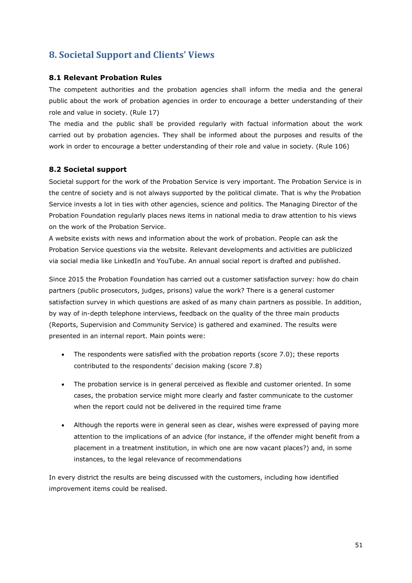# **8. Societal Support and Clients' Views**

## **8.1 Relevant Probation Rules**

The competent authorities and the probation agencies shall inform the media and the general public about the work of probation agencies in order to encourage a better understanding of their role and value in society. (Rule 17)

The media and the public shall be provided regularly with factual information about the work carried out by probation agencies. They shall be informed about the purposes and results of the work in order to encourage a better understanding of their role and value in society. (Rule 106)

#### **8.2 Societal support**

Societal support for the work of the Probation Service is very important. The Probation Service is in the centre of society and is not always supported by the political climate. That is why the Probation Service invests a lot in ties with other agencies, science and politics. The Managing Director of the Probation Foundation regularly places news items in national media to draw attention to his views on the work of the Probation Service.

A website exists with news and information about the work of probation. People can ask the Probation Service questions via the website. Relevant developments and activities are publicized via social media like LinkedIn and YouTube. An annual social report is drafted and published.

Since 2015 the Probation Foundation has carried out a customer satisfaction survey: how do chain partners (public prosecutors, judges, prisons) value the work? There is a general customer satisfaction survey in which questions are asked of as many chain partners as possible. In addition, by way of in-depth telephone interviews, feedback on the quality of the three main products (Reports, Supervision and Community Service) is gathered and examined. The results were presented in an internal report. Main points were:

- The respondents were satisfied with the probation reports (score 7.0); these reports contributed to the respondents' decision making (score 7.8)
- The probation service is in general perceived as flexible and customer oriented. In some cases, the probation service might more clearly and faster communicate to the customer when the report could not be delivered in the required time frame
- Although the reports were in general seen as clear, wishes were expressed of paying more attention to the implications of an advice (for instance, if the offender might benefit from a placement in a treatment institution, in which one are now vacant places?) and, in some instances, to the legal relevance of recommendations

In every district the results are being discussed with the customers, including how identified improvement items could be realised.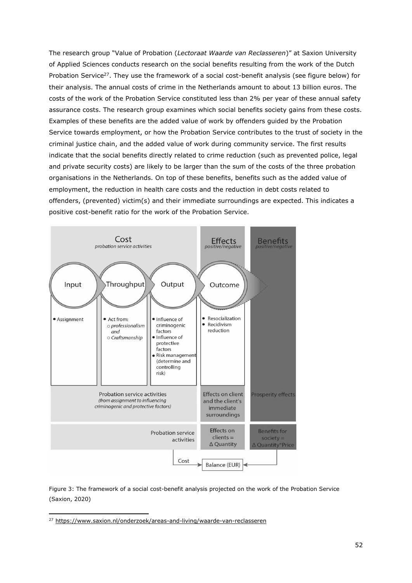The research group "Value of Probation (*Lectoraat Waarde van Reclasseren*)" at Saxion University of Applied Sciences conducts research on the social benefits resulting from the work of the Dutch Probation Service<sup>27</sup>. They use the framework of a social cost-benefit analysis (see figure below) for their analysis. The annual costs of crime in the Netherlands amount to about 13 billion euros. The costs of the work of the Probation Service constituted less than 2% per year of these annual safety assurance costs. The research group examines which social benefits society gains from these costs. Examples of these benefits are the added value of work by offenders guided by the Probation Service towards employment, or how the Probation Service contributes to the trust of society in the criminal justice chain, and the added value of work during community service. The first results indicate that the social benefits directly related to crime reduction (such as prevented police, legal and private security costs) are likely to be larger than the sum of the costs of the three probation organisations in the Netherlands. On top of these benefits, benefits such as the added value of employment, the reduction in health care costs and the reduction in debt costs related to offenders, (prevented) victim(s) and their immediate surroundings are expected. This indicates a positive cost-benefit ratio for the work of the Probation Service.



Figure 3: The framework of a social cost-benefit analysis projected on the work of the Probation Service (Saxion, 2020)

<sup>27</sup> <https://www.saxion.nl/onderzoek/areas-and-living/waarde-van-reclasseren>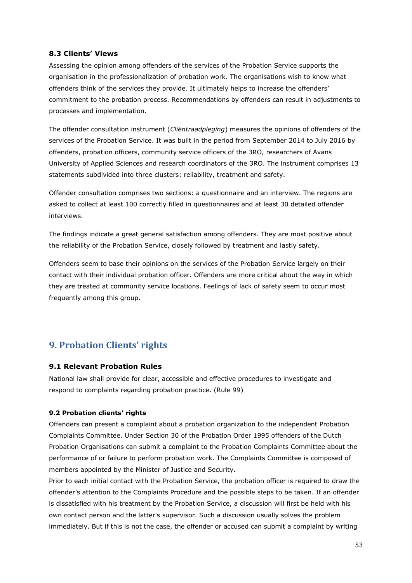## **8.3 Clients' Views**

Assessing the opinion among offenders of the services of the Probation Service supports the organisation in the professionalization of probation work. The organisations wish to know what offenders think of the services they provide. It ultimately helps to increase the offenders' commitment to the probation process. Recommendations by offenders can result in adjustments to processes and implementation.

The offender consultation instrument (*Cliëntraadpleging*) measures the opinions of offenders of the services of the Probation Service. It was built in the period from September 2014 to July 2016 by offenders, probation officers, community service officers of the 3RO, researchers of Avans University of Applied Sciences and research coordinators of the 3RO. The instrument comprises 13 statements subdivided into three clusters: reliability, treatment and safety.

Offender consultation comprises two sections: a questionnaire and an interview. The regions are asked to collect at least 100 correctly filled in questionnaires and at least 30 detailed offender interviews.

The findings indicate a great general satisfaction among offenders. They are most positive about the reliability of the Probation Service, closely followed by treatment and lastly safety.

Offenders seem to base their opinions on the services of the Probation Service largely on their contact with their individual probation officer. Offenders are more critical about the way in which they are treated at community service locations. Feelings of lack of safety seem to occur most frequently among this group.

# **9. Probation Clients' rights**

#### **9.1 Relevant Probation Rules**

National law shall provide for clear, accessible and effective procedures to investigate and respond to complaints regarding probation practice. (Rule 99)

#### **9.2 Probation clients' rights**

Offenders can present a complaint about a probation organization to the independent Probation Complaints Committee. Under Section 30 of the Probation Order 1995 offenders of the Dutch Probation Organisations can submit a complaint to the Probation Complaints Committee about the performance of or failure to perform probation work. The Complaints Committee is composed of members appointed by the Minister of Justice and Security.

Prior to each initial contact with the Probation Service, the probation officer is required to draw the offender's attention to the Complaints Procedure and the possible steps to be taken. If an offender is dissatisfied with his treatment by the Probation Service, a discussion will first be held with his own contact person and the latter's supervisor. Such a discussion usually solves the problem immediately. But if this is not the case, the offender or accused can submit a complaint by writing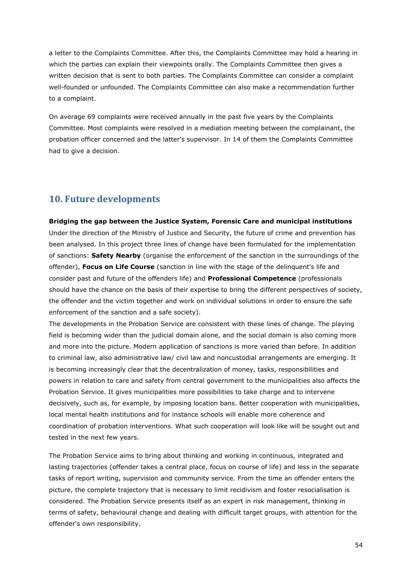a letter to the Complaints Committee. After this, the Complaints Committee may hold a hearing in which the parties can explain their viewpoints orally. The Complaints Committee then gives a written decision that is sent to both parties. The Complaints Committee can consider a complaint well-founded or unfounded. The Complaints Committee can also make a recommendation further to a complaint.

On average 69 complaints were received annually in the past five years by the Complaints Committee. Most complaints were resolved in a mediation meeting between the complainant, the probation officer concerned and the latter's supervisor. In 14 of them the Complaints Committee had to give a decision.

# **10. Future developments**

#### **Bridging the gap between the Justice System, Forensic Care and municipal institutions**

Under the direction of the Ministry of Justice and Security, the future of crime and prevention has been analysed. In this project three lines of change have been formulated for the implementation of sanctions: **Safety Nearby** (organise the enforcement of the sanction in the surroundings of the offender), **Focus on Life Course** (sanction in line with the stage of the delinquent's life and consider past and future of the offenders life) and **Professional Competence** (professionals should have the chance on the basis of their expertise to bring the different perspectives of society, the offender and the victim together and work on individual solutions in order to ensure the safe enforcement of the sanction and a safe society).

The developments in the Probation Service are consistent with these lines of change. The playing field is becoming wider than the judicial domain alone, and the social domain is also coming more and more into the picture. Modern application of sanctions is more varied than before. In addition to criminal law, also administrative law/ civil law and noncustodial arrangements are emerging. It is becoming increasingly clear that the decentralization of money, tasks, responsibilities and powers in relation to care and safety from central government to the municipalities also affects the Probation Service. It gives municipalities more possibilities to take charge and to intervene decisively, such as, for example, by imposing location bans. Better cooperation with municipalities, local mental health institutions and for instance schools will enable more coherence and coordination of probation interventions. What such cooperation will look like will be sought out and tested in the next few years.

The Probation Service aims to bring about thinking and working in continuous, integrated and lasting trajectories (offender takes a central place, focus on course of life) and less in the separate tasks of report writing, supervision and community service. From the time an offender enters the picture, the complete trajectory that is necessary to limit recidivism and foster resocialisation is considered. The Probation Service presents itself as an expert in risk management, thinking in terms of safety, behavioural change and dealing with difficult target groups, with attention for the offender's own responsibility.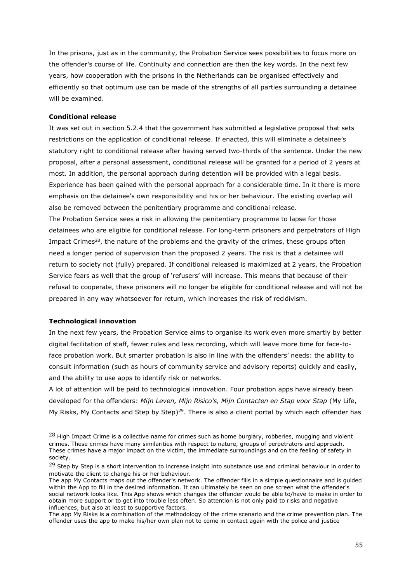In the prisons, just as in the community, the Probation Service sees possibilities to focus more on the offender's course of life. Continuity and connection are then the key words. In the next few years, how cooperation with the prisons in the Netherlands can be organised effectively and efficiently so that optimum use can be made of the strengths of all parties surrounding a detainee will be examined.

#### **Conditional release**

It was set out in section 5.2.4 that the government has submitted a legislative proposal that sets restrictions on the application of conditional release. If enacted, this will eliminate a detainee's statutory right to conditional release after having served two-thirds of the sentence. Under the new proposal, after a personal assessment, conditional release will be granted for a period of 2 years at most. In addition, the personal approach during detention will be provided with a legal basis. Experience has been gained with the personal approach for a considerable time. In it there is more emphasis on the detainee's own responsibility and his or her behaviour. The existing overlap will also be removed between the penitentiary programme and conditional release*.*

The Probation Service sees a risk in allowing the penitentiary programme to lapse for those detainees who are eligible for conditional release. For long-term prisoners and perpetrators of High Impact Crimes<sup>28</sup>, the nature of the problems and the gravity of the crimes, these groups often need a longer period of supervision than the proposed 2 years. The risk is that a detainee will return to society not (fully) prepared. If conditional released is maximized at 2 years, the Probation Service fears as well that the group of 'refusers' will increase. This means that because of their refusal to cooperate, these prisoners will no longer be eligible for conditional release and will not be prepared in any way whatsoever for return, which increases the risk of recidivism.

#### **Technological innovation**

In the next few years, the Probation Service aims to organise its work even more smartly by better digital facilitation of staff, fewer rules and less recording, which will leave more time for face-toface probation work. But smarter probation is also in line with the offenders' needs: the ability to consult information (such as hours of community service and advisory reports) quickly and easily, and the ability to use apps to identify risk or networks.

A lot of attention will be paid to technological innovation. Four probation apps have already been developed for the offenders: *Mijn Leven, Mijn Risico's, Mijn Contacten en Stap voor Stap* (My Life, My Risks, My Contacts and Step by Step)<sup>29</sup>. There is also a client portal by which each offender has

 $^{28}$  High Impact Crime is a collective name for crimes such as home burglary, robberies, mugging and violent crimes. These crimes have many similarities with respect to nature, groups of perpetrators and approach. These crimes have a major impact on the victim, the immediate surroundings and on the feeling of safety in society.

 $^{29}$  Step by Step is a short intervention to increase insight into substance use and criminal behaviour in order to motivate the client to change his or her behaviour.

The app My Contacts maps out the offender's network. The offender fills in a simple questionnaire and is guided within the App to fill in the desired information. It can ultimately be seen on one screen what the offender's social network looks like. This App shows which changes the offender would be able to/have to make in order to obtain more support or to get into trouble less often. So attention is not only paid to risks and negative influences, but also at least to supportive factors.

The app My Risks is a combination of the methodology of the crime scenario and the crime prevention plan. The offender uses the app to make his/her own plan not to come in contact again with the police and justice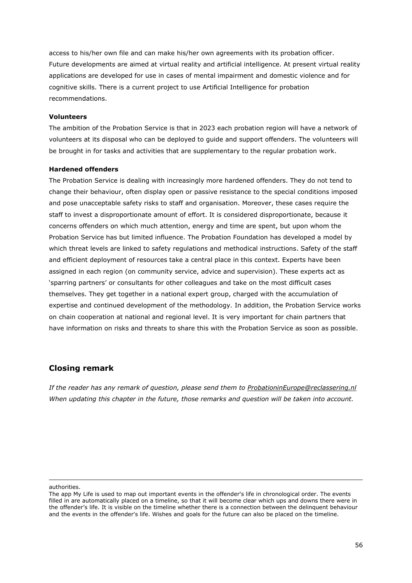access to his/her own file and can make his/her own agreements with its probation officer. Future developments are aimed at virtual reality and artificial intelligence. At present virtual reality applications are developed for use in cases of mental impairment and domestic violence and for cognitive skills. There is a current project to use Artificial Intelligence for probation recommendations.

#### **Volunteers**

The ambition of the Probation Service is that in 2023 each probation region will have a network of volunteers at its disposal who can be deployed to guide and support offenders. The volunteers will be brought in for tasks and activities that are supplementary to the regular probation work.

#### **Hardened offenders**

The Probation Service is dealing with increasingly more hardened offenders. They do not tend to change their behaviour, often display open or passive resistance to the special conditions imposed and pose unacceptable safety risks to staff and organisation. Moreover, these cases require the staff to invest a disproportionate amount of effort. It is considered disproportionate, because it concerns offenders on which much attention, energy and time are spent, but upon whom the Probation Service has but limited influence. The Probation Foundation has developed a model by which threat levels are linked to safety regulations and methodical instructions. Safety of the staff and efficient deployment of resources take a central place in this context. Experts have been assigned in each region (on community service, advice and supervision). These experts act as 'sparring partners' or consultants for other colleagues and take on the most difficult cases themselves. They get together in a national expert group, charged with the accumulation of expertise and continued development of the methodology. In addition, the Probation Service works on chain cooperation at national and regional level. It is very important for chain partners that have information on risks and threats to share this with the Probation Service as soon as possible.

# **Closing remark**

*If the reader has any remark of question, please send them to [ProbationinEurope@reclassering.nl](mailto:ProbationinEurope@reclassering.nl) When updating this chapter in the future, those remarks and question will be taken into account.*

authorities.

The app My Life is used to map out important events in the offender's life in chronological order. The events filled in are automatically placed on a timeline, so that it will become clear which ups and downs there were in the offender's life. It is visible on the timeline whether there is a connection between the delinquent behaviour and the events in the offender's life. Wishes and goals for the future can also be placed on the timeline.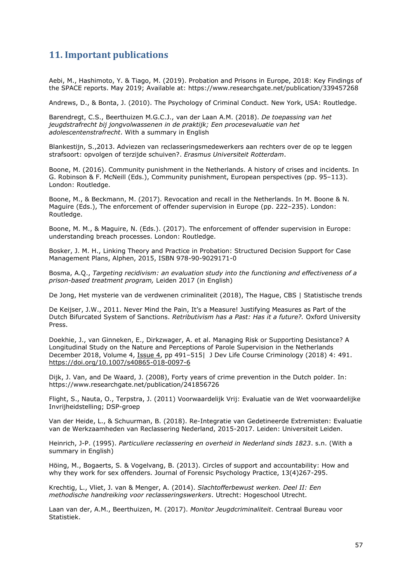# **11. Important publications**

Aebi, M., Hashimoto, Y. & Tiago, M. (2019). Probation and Prisons in Europe, 2018: Key Findings of the SPACE reports. May 2019; Available at: https://www.researchgate.net/publication/339457268

Andrews, D., & Bonta, J. (2010). The Psychology of Criminal Conduct. New York, USA: Routledge.

Barendregt, C.S., Beerthuizen M.G.C.J., van der Laan A.M. (2018). *De toepassing van het jeugdstrafrecht bij jongvolwassenen in de praktijk; Een procesevaluatie van het adolescentenstrafrecht*. With a summary in English

Blankestijn, S.,2013. Adviezen van reclasseringsmedewerkers aan rechters over de op te leggen strafsoort: opvolgen of terzijde schuiven?. *Erasmus Universiteit Rotterdam*.

Boone, M. (2016). Community punishment in the Netherlands. A history of crises and incidents. In G. Robinson & F. McNeill (Eds.), Community punishment, European perspectives (pp. 95–113). London: Routledge.

Boone, M., & Beckmann, M. (2017). Revocation and recall in the Netherlands. In M. Boone & N. Maguire (Eds.), The enforcement of offender supervision in Europe (pp. 222–235). London: Routledge.

Boone, M. M., & Maguire, N. (Eds.). (2017). The enforcement of offender supervision in Europe: understanding breach processes. London: Routledge.

Bosker, J. M. H., Linking Theory and Practice in Probation: Structured Decision Support for Case Management Plans, Alphen, 2015, ISBN 978-90-9029171-0

Bosma, A.Q., *Targeting recidivism: an evaluation study into the functioning and effectiveness of a prison-based treatment program,* Leiden 2017 (in English)

De Jong, Het mysterie van de verdwenen criminaliteit (2018), The Hague, CBS | Statistische trends

De Keijser, J.W., 2011. Never Mind the Pain, It's a Measure! Justifying Measures as Part of the Dutch Bifurcated System of Sanctions. *Retributivism has a Past: Has it a future?.* Oxford University Press.

Doekhie, J., van Ginneken, E., Dirkzwager, A. et al. Managing Risk or Supporting Desistance? A Longitudinal Study on the Nature and Perceptions of Parole Supervision in the Netherlands December 2018, Volume 4, [Issue](https://link.springer.com/journal/40865/4/4/page/1) 4, pp 491-515| J Dev Life Course Criminology (2018) 4: 491. <https://doi.org/10.1007/s40865-018-0097-6>

Dijk, J. Van, and De Waard, J. (2008), Forty years of crime prevention in the Dutch polder. In: https://www.researchgate.net/publication/241856726

Flight, S., Nauta, O., Terpstra, J. (2011) Voorwaardelijk Vrij: Evaluatie van de Wet voorwaardelijke Invrijheidstelling; DSP-groep

Van der Heide, L., & Schuurman, B. (2018). Re-Integratie van Gedetineerde Extremisten: Evaluatie van de Werkzaamheden van Reclassering Nederland, 2015-2017. Leiden: Universiteit Leiden.

Heinrich, J-P. (1995). *Particuliere reclassering en overheid in Nederland sinds 1823*. s.n. (With a summary in English)

Höing, M., Bogaerts, S. & Vogelvang, B. (2013). Circles of support and accountability: How and why they work for sex offenders. Journal of Forensic Psychology Practice, 13(4)267-295.

Krechtig, L., Vliet, J. van & Menger, A. (2014). *Slachtofferbewust werken. Deel II: Een methodische handreiking voor reclasseringswerkers*. Utrecht: Hogeschool Utrecht.

Laan van der, A.M., Beerthuizen, M. (2017). *Monitor Jeugdcriminaliteit*. Centraal Bureau voor Statistiek.